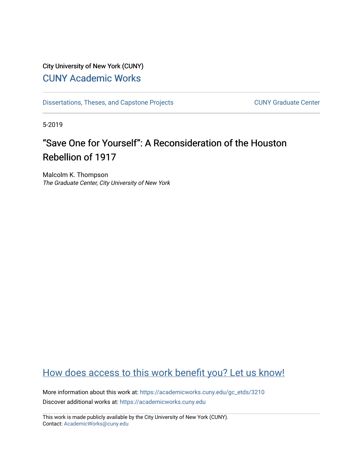## City University of New York (CUNY) [CUNY Academic Works](https://academicworks.cuny.edu/)

[Dissertations, Theses, and Capstone Projects](https://academicworks.cuny.edu/gc_etds) CUNY Graduate Center

5-2019

## "Save One for Yourself": A Reconsideration of the Houston Rebellion of 1917

Malcolm K. Thompson The Graduate Center, City University of New York

## [How does access to this work benefit you? Let us know!](http://ols.cuny.edu/academicworks/?ref=https://academicworks.cuny.edu/gc_etds/3210)

More information about this work at: [https://academicworks.cuny.edu/gc\\_etds/3210](https://academicworks.cuny.edu/gc_etds/3210) Discover additional works at: [https://academicworks.cuny.edu](https://academicworks.cuny.edu/?)

This work is made publicly available by the City University of New York (CUNY). Contact: [AcademicWorks@cuny.edu](mailto:AcademicWorks@cuny.edu)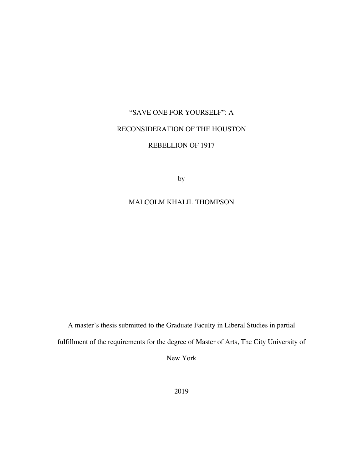# "SAVE ONE FOR YOURSELF": A RECONSIDERATION OF THE HOUSTON REBELLION OF 1917

by

### MALCOLM KHALIL THOMPSON

A master's thesis submitted to the Graduate Faculty in Liberal Studies in partial fulfillment of the requirements for the degree of Master of Arts, The City University of

New York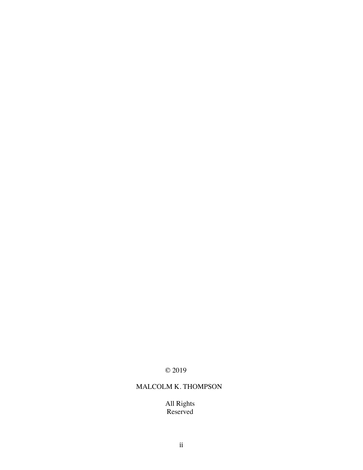### © 2019

### MALCOLM K. THOMPSON

All Rights Reserved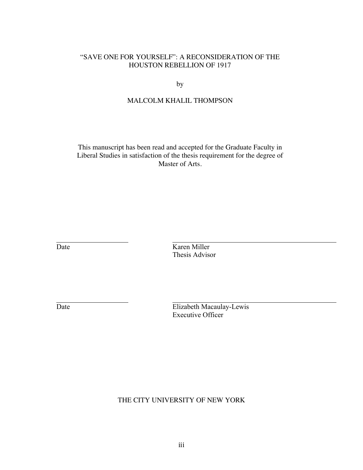### "SAVE ONE FOR YOURSELF": A RECONSIDERATION OF THE HOUSTON REBELLION OF 1917

by

### MALCOLM KHALIL THOMPSON

This manuscript has been read and accepted for the Graduate Faculty in Liberal Studies in satisfaction of the thesis requirement for the degree of Master of Arts.

Date Karen Miller Thesis Advisor

Date Elizabeth Macaulay-Lewis Executive Officer

THE CITY UNIVERSITY OF NEW YORK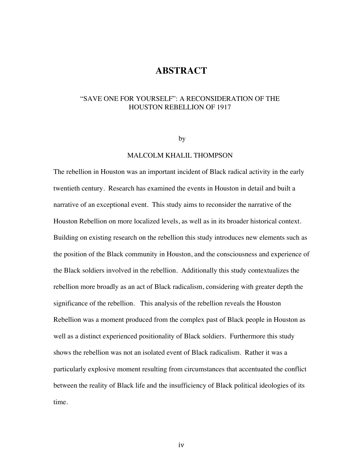### **ABSTRACT**

### "SAVE ONE FOR YOURSELF": A RECONSIDERATION OF THE HOUSTON REBELLION OF 1917

#### by

### MALCOLM KHALIL THOMPSON

The rebellion in Houston was an important incident of Black radical activity in the early twentieth century. Research has examined the events in Houston in detail and built a narrative of an exceptional event. This study aims to reconsider the narrative of the Houston Rebellion on more localized levels, as well as in its broader historical context. Building on existing research on the rebellion this study introduces new elements such as the position of the Black community in Houston, and the consciousness and experience of the Black soldiers involved in the rebellion. Additionally this study contextualizes the rebellion more broadly as an act of Black radicalism, considering with greater depth the significance of the rebellion. This analysis of the rebellion reveals the Houston Rebellion was a moment produced from the complex past of Black people in Houston as well as a distinct experienced positionality of Black soldiers. Furthermore this study shows the rebellion was not an isolated event of Black radicalism. Rather it was a particularly explosive moment resulting from circumstances that accentuated the conflict between the reality of Black life and the insufficiency of Black political ideologies of its time.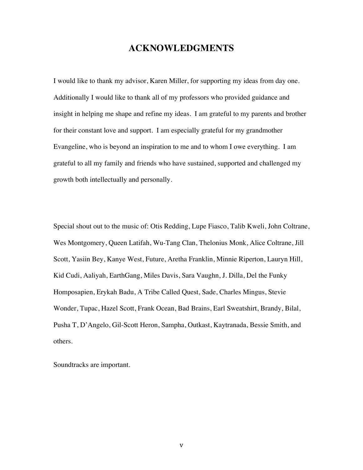## **ACKNOWLEDGMENTS**

I would like to thank my advisor, Karen Miller, for supporting my ideas from day one. Additionally I would like to thank all of my professors who provided guidance and insight in helping me shape and refine my ideas. I am grateful to my parents and brother for their constant love and support. I am especially grateful for my grandmother Evangeline, who is beyond an inspiration to me and to whom I owe everything. I am grateful to all my family and friends who have sustained, supported and challenged my growth both intellectually and personally.

Special shout out to the music of: Otis Redding, Lupe Fiasco, Talib Kweli, John Coltrane, Wes Montgomery, Queen Latifah, Wu-Tang Clan, Thelonius Monk, Alice Coltrane, Jill Scott, Yasiin Bey, Kanye West, Future, Aretha Franklin, Minnie Riperton, Lauryn Hill, Kid Cudi, Aaliyah, EarthGang, Miles Davis, Sara Vaughn, J. Dilla, Del the Funky Homposapien, Erykah Badu, A Tribe Called Quest, Sade, Charles Mingus, Stevie Wonder, Tupac, Hazel Scott, Frank Ocean, Bad Brains, Earl Sweatshirt, Brandy, Bilal, Pusha T, D'Angelo, Gil-Scott Heron, Sampha, Outkast, Kaytranada, Bessie Smith, and others.

Soundtracks are important.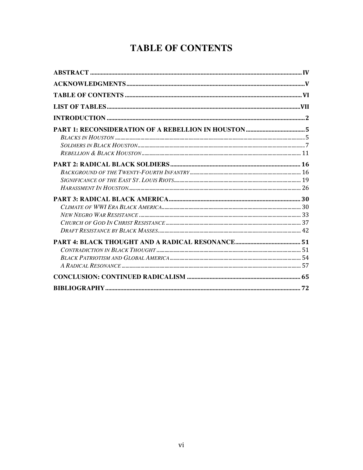## **TABLE OF CONTENTS**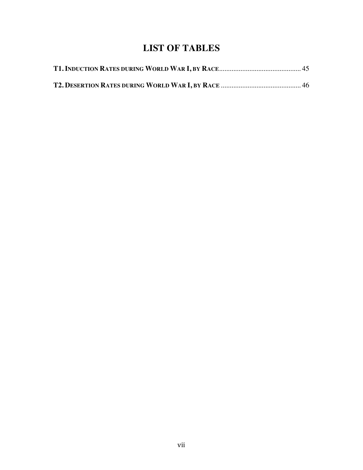## **LIST OF TABLES**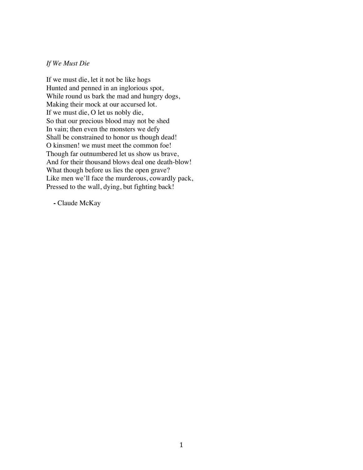### *If We Must Die*

If we must die, let it not be like hogs Hunted and penned in an inglorious spot, While round us bark the mad and hungry dogs, Making their mock at our accursed lot. If we must die, O let us nobly die, So that our precious blood may not be shed In vain; then even the monsters we defy Shall be constrained to honor us though dead! O kinsmen! we must meet the common foe! Though far outnumbered let us show us brave, And for their thousand blows deal one death-blow! What though before us lies the open grave? Like men we'll face the murderous, cowardly pack, Pressed to the wall, dying, but fighting back!

**-** Claude McKay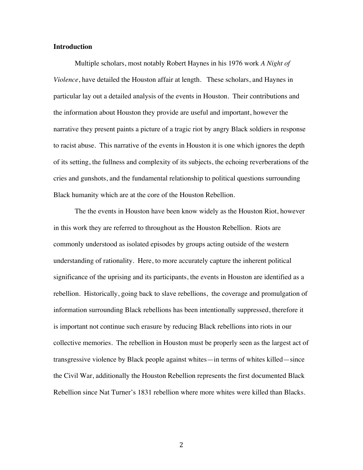### **Introduction**

Multiple scholars, most notably Robert Haynes in his 1976 work *A Night of Violence*, have detailed the Houston affair at length. These scholars, and Haynes in particular lay out a detailed analysis of the events in Houston. Their contributions and the information about Houston they provide are useful and important, however the narrative they present paints a picture of a tragic riot by angry Black soldiers in response to racist abuse. This narrative of the events in Houston it is one which ignores the depth of its setting, the fullness and complexity of its subjects, the echoing reverberations of the cries and gunshots, and the fundamental relationship to political questions surrounding Black humanity which are at the core of the Houston Rebellion.

The the events in Houston have been know widely as the Houston Riot, however in this work they are referred to throughout as the Houston Rebellion. Riots are commonly understood as isolated episodes by groups acting outside of the western understanding of rationality. Here, to more accurately capture the inherent political significance of the uprising and its participants, the events in Houston are identified as a rebellion. Historically, going back to slave rebellions, the coverage and promulgation of information surrounding Black rebellions has been intentionally suppressed, therefore it is important not continue such erasure by reducing Black rebellions into riots in our collective memories. The rebellion in Houston must be properly seen as the largest act of transgressive violence by Black people against whites—in terms of whites killed—since the Civil War, additionally the Houston Rebellion represents the first documented Black Rebellion since Nat Turner's 1831 rebellion where more whites were killed than Blacks.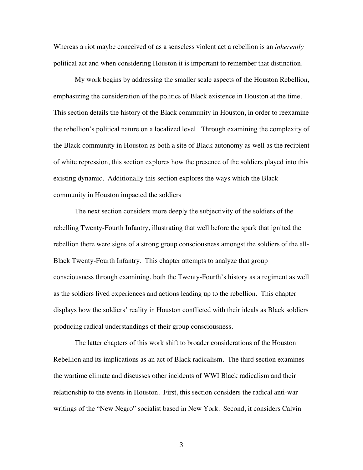Whereas a riot maybe conceived of as a senseless violent act a rebellion is an *inherently*  political act and when considering Houston it is important to remember that distinction.

My work begins by addressing the smaller scale aspects of the Houston Rebellion, emphasizing the consideration of the politics of Black existence in Houston at the time. This section details the history of the Black community in Houston, in order to reexamine the rebellion's political nature on a localized level. Through examining the complexity of the Black community in Houston as both a site of Black autonomy as well as the recipient of white repression, this section explores how the presence of the soldiers played into this existing dynamic. Additionally this section explores the ways which the Black community in Houston impacted the soldiers

The next section considers more deeply the subjectivity of the soldiers of the rebelling Twenty-Fourth Infantry, illustrating that well before the spark that ignited the rebellion there were signs of a strong group consciousness amongst the soldiers of the all-Black Twenty-Fourth Infantry. This chapter attempts to analyze that group consciousness through examining, both the Twenty-Fourth's history as a regiment as well as the soldiers lived experiences and actions leading up to the rebellion. This chapter displays how the soldiers' reality in Houston conflicted with their ideals as Black soldiers producing radical understandings of their group consciousness.

The latter chapters of this work shift to broader considerations of the Houston Rebellion and its implications as an act of Black radicalism. The third section examines the wartime climate and discusses other incidents of WWI Black radicalism and their relationship to the events in Houston. First, this section considers the radical anti-war writings of the "New Negro" socialist based in New York. Second, it considers Calvin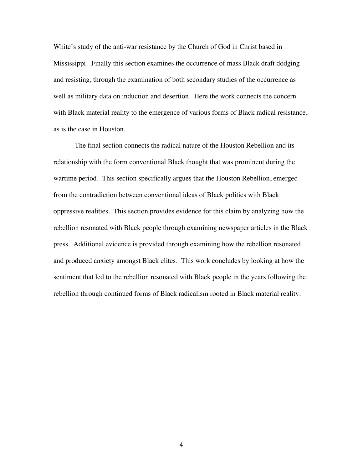White's study of the anti-war resistance by the Church of God in Christ based in Mississippi. Finally this section examines the occurrence of mass Black draft dodging and resisting, through the examination of both secondary studies of the occurrence as well as military data on induction and desertion. Here the work connects the concern with Black material reality to the emergence of various forms of Black radical resistance, as is the case in Houston.

The final section connects the radical nature of the Houston Rebellion and its relationship with the form conventional Black thought that was prominent during the wartime period. This section specifically argues that the Houston Rebellion, emerged from the contradiction between conventional ideas of Black politics with Black oppressive realities. This section provides evidence for this claim by analyzing how the rebellion resonated with Black people through examining newspaper articles in the Black press. Additional evidence is provided through examining how the rebellion resonated and produced anxiety amongst Black elites. This work concludes by looking at how the sentiment that led to the rebellion resonated with Black people in the years following the rebellion through continued forms of Black radicalism rooted in Black material reality.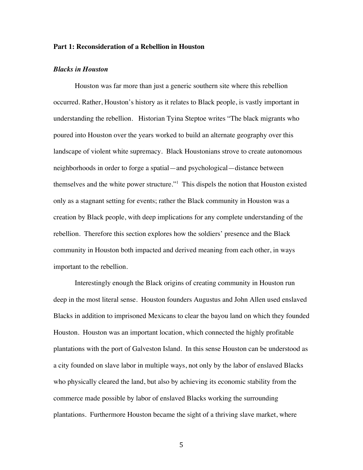### **Part 1: Reconsideration of a Rebellion in Houston**

### *Blacks in Houston*

Houston was far more than just a generic southern site where this rebellion occurred. Rather, Houston's history as it relates to Black people, is vastly important in understanding the rebellion. Historian Tyina Steptoe writes "The black migrants who poured into Houston over the years worked to build an alternate geography over this landscape of violent white supremacy. Black Houstonians strove to create autonomous neighborhoods in order to forge a spatial—and psychological—distance between themselves and the white power structure."<sup>1</sup> This dispels the notion that Houston existed only as a stagnant setting for events; rather the Black community in Houston was a creation by Black people, with deep implications for any complete understanding of the rebellion. Therefore this section explores how the soldiers' presence and the Black community in Houston both impacted and derived meaning from each other, in ways important to the rebellion.

Interestingly enough the Black origins of creating community in Houston run deep in the most literal sense. Houston founders Augustus and John Allen used enslaved Blacks in addition to imprisoned Mexicans to clear the bayou land on which they founded Houston. Houston was an important location, which connected the highly profitable plantations with the port of Galveston Island. In this sense Houston can be understood as a city founded on slave labor in multiple ways, not only by the labor of enslaved Blacks who physically cleared the land, but also by achieving its economic stability from the commerce made possible by labor of enslaved Blacks working the surrounding plantations. Furthermore Houston became the sight of a thriving slave market, where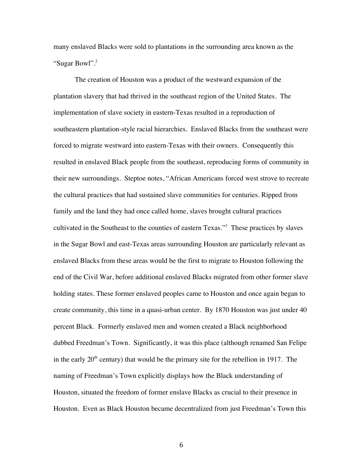many enslaved Blacks were sold to plantations in the surrounding area known as the "Sugar Bowl".2

The creation of Houston was a product of the westward expansion of the plantation slavery that had thrived in the southeast region of the United States. The implementation of slave society in eastern-Texas resulted in a reproduction of southeastern plantation-style racial hierarchies. Enslaved Blacks from the southeast were forced to migrate westward into eastern-Texas with their owners. Consequently this resulted in enslaved Black people from the southeast, reproducing forms of community in their new surroundings. Steptoe notes, "African Americans forced west strove to recreate the cultural practices that had sustained slave communities for centuries. Ripped from family and the land they had once called home, slaves brought cultural practices cultivated in the Southeast to the counties of eastern Texas."<sup>3</sup> These practices by slaves in the Sugar Bowl and east-Texas areas surrounding Houston are particularly relevant as enslaved Blacks from these areas would be the first to migrate to Houston following the end of the Civil War, before additional enslaved Blacks migrated from other former slave holding states. These former enslaved peoples came to Houston and once again began to create community, this time in a quasi-urban center. By 1870 Houston was just under 40 percent Black. Formerly enslaved men and women created a Black neighborhood dubbed Freedman's Town. Significantly, it was this place (although renamed San Felipe in the early  $20<sup>th</sup>$  century) that would be the primary site for the rebellion in 1917. The naming of Freedman's Town explicitly displays how the Black understanding of Houston, situated the freedom of former enslave Blacks as crucial to their presence in Houston. Even as Black Houston became decentralized from just Freedman's Town this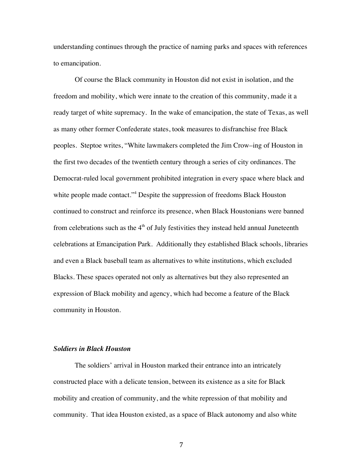understanding continues through the practice of naming parks and spaces with references to emancipation.

Of course the Black community in Houston did not exist in isolation, and the freedom and mobility, which were innate to the creation of this community, made it a ready target of white supremacy. In the wake of emancipation, the state of Texas, as well as many other former Confederate states, took measures to disfranchise free Black peoples. Steptoe writes, "White lawmakers completed the Jim Crow–ing of Houston in the first two decades of the twentieth century through a series of city ordinances. The Democrat-ruled local government prohibited integration in every space where black and white people made contact."<sup>4</sup> Despite the suppression of freedoms Black Houston continued to construct and reinforce its presence, when Black Houstonians were banned from celebrations such as the  $4<sup>th</sup>$  of July festivities they instead held annual Juneteenth celebrations at Emancipation Park. Additionally they established Black schools, libraries and even a Black baseball team as alternatives to white institutions, which excluded Blacks. These spaces operated not only as alternatives but they also represented an expression of Black mobility and agency, which had become a feature of the Black community in Houston.

### *Soldiers in Black Houston*

The soldiers' arrival in Houston marked their entrance into an intricately constructed place with a delicate tension, between its existence as a site for Black mobility and creation of community, and the white repression of that mobility and community. That idea Houston existed, as a space of Black autonomy and also white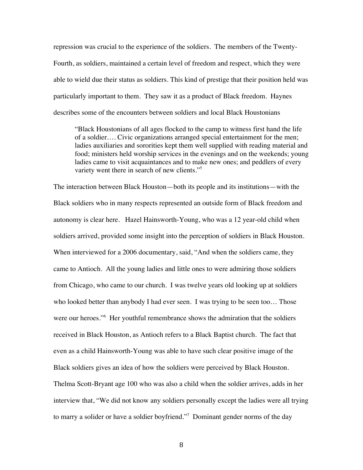repression was crucial to the experience of the soldiers. The members of the Twenty-Fourth, as soldiers, maintained a certain level of freedom and respect, which they were able to wield due their status as soldiers. This kind of prestige that their position held was particularly important to them. They saw it as a product of Black freedom. Haynes describes some of the encounters between soldiers and local Black Houstonians

"Black Houstonians of all ages flocked to the camp to witness first hand the life of a soldier…. Civic organizations arranged special entertainment for the men; ladies auxiliaries and sororities kept them well supplied with reading material and food; ministers held worship services in the evenings and on the weekends; young ladies came to visit acquaintances and to make new ones; and peddlers of every variety went there in search of new clients."<sup>5</sup>

The interaction between Black Houston—both its people and its institutions—with the Black soldiers who in many respects represented an outside form of Black freedom and autonomy is clear here. Hazel Hainsworth-Young, who was a 12 year-old child when soldiers arrived, provided some insight into the perception of soldiers in Black Houston. When interviewed for a 2006 documentary, said, "And when the soldiers came, they came to Antioch. All the young ladies and little ones to were admiring those soldiers from Chicago, who came to our church. I was twelve years old looking up at soldiers who looked better than anybody I had ever seen. I was trying to be seen too... Those were our heroes."<sup>6</sup> Her youthful remembrance shows the admiration that the soldiers received in Black Houston, as Antioch refers to a Black Baptist church. The fact that even as a child Hainsworth-Young was able to have such clear positive image of the Black soldiers gives an idea of how the soldiers were perceived by Black Houston. Thelma Scott-Bryant age 100 who was also a child when the soldier arrives, adds in her interview that, "We did not know any soldiers personally except the ladies were all trying to marry a solider or have a soldier boyfriend."<sup>7</sup> Dominant gender norms of the day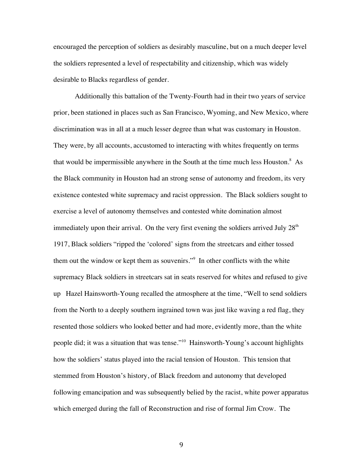encouraged the perception of soldiers as desirably masculine, but on a much deeper level the soldiers represented a level of respectability and citizenship, which was widely desirable to Blacks regardless of gender.

Additionally this battalion of the Twenty-Fourth had in their two years of service prior, been stationed in places such as San Francisco, Wyoming, and New Mexico, where discrimination was in all at a much lesser degree than what was customary in Houston. They were, by all accounts, accustomed to interacting with whites frequently on terms that would be impermissible anywhere in the South at the time much less Houston. $8$  As the Black community in Houston had an strong sense of autonomy and freedom, its very existence contested white supremacy and racist oppression. The Black soldiers sought to exercise a level of autonomy themselves and contested white domination almost immediately upon their arrival. On the very first evening the soldiers arrived July  $28<sup>th</sup>$ 1917, Black soldiers "ripped the 'colored' signs from the streetcars and either tossed them out the window or kept them as souvenirs."<sup>9</sup> In other conflicts with the white supremacy Black soldiers in streetcars sat in seats reserved for whites and refused to give up Hazel Hainsworth-Young recalled the atmosphere at the time, "Well to send soldiers from the North to a deeply southern ingrained town was just like waving a red flag, they resented those soldiers who looked better and had more, evidently more, than the white people did; it was a situation that was tense."10 Hainsworth-Young's account highlights how the soldiers' status played into the racial tension of Houston. This tension that stemmed from Houston's history, of Black freedom and autonomy that developed following emancipation and was subsequently belied by the racist, white power apparatus which emerged during the fall of Reconstruction and rise of formal Jim Crow. The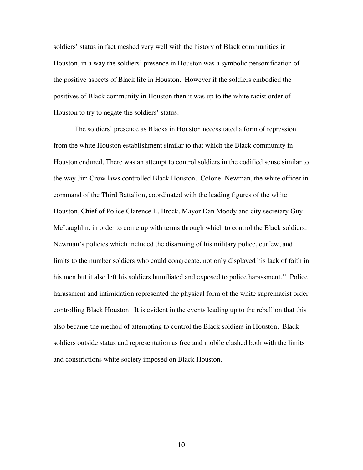soldiers' status in fact meshed very well with the history of Black communities in Houston, in a way the soldiers' presence in Houston was a symbolic personification of the positive aspects of Black life in Houston. However if the soldiers embodied the positives of Black community in Houston then it was up to the white racist order of Houston to try to negate the soldiers' status.

The soldiers' presence as Blacks in Houston necessitated a form of repression from the white Houston establishment similar to that which the Black community in Houston endured. There was an attempt to control soldiers in the codified sense similar to the way Jim Crow laws controlled Black Houston. Colonel Newman, the white officer in command of the Third Battalion, coordinated with the leading figures of the white Houston, Chief of Police Clarence L. Brock, Mayor Dan Moody and city secretary Guy McLaughlin, in order to come up with terms through which to control the Black soldiers. Newman's policies which included the disarming of his military police, curfew, and limits to the number soldiers who could congregate, not only displayed his lack of faith in his men but it also left his soldiers humiliated and exposed to police harassment.<sup>11</sup> Police harassment and intimidation represented the physical form of the white supremacist order controlling Black Houston. It is evident in the events leading up to the rebellion that this also became the method of attempting to control the Black soldiers in Houston. Black soldiers outside status and representation as free and mobile clashed both with the limits and constrictions white society imposed on Black Houston.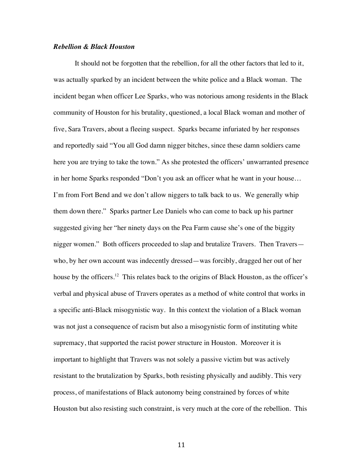### *Rebellion & Black Houston*

It should not be forgotten that the rebellion, for all the other factors that led to it, was actually sparked by an incident between the white police and a Black woman. The incident began when officer Lee Sparks, who was notorious among residents in the Black community of Houston for his brutality, questioned, a local Black woman and mother of five, Sara Travers, about a fleeing suspect. Sparks became infuriated by her responses and reportedly said "You all God damn nigger bitches, since these damn soldiers came here you are trying to take the town." As she protested the officers' unwarranted presence in her home Sparks responded "Don't you ask an officer what he want in your house… I'm from Fort Bend and we don't allow niggers to talk back to us. We generally whip them down there." Sparks partner Lee Daniels who can come to back up his partner suggested giving her "her ninety days on the Pea Farm cause she's one of the biggity nigger women." Both officers proceeded to slap and brutalize Travers. Then Travers who, by her own account was indecently dressed—was forcibly, dragged her out of her house by the officers.<sup>12</sup> This relates back to the origins of Black Houston, as the officer's verbal and physical abuse of Travers operates as a method of white control that works in a specific anti-Black misogynistic way. In this context the violation of a Black woman was not just a consequence of racism but also a misogynistic form of instituting white supremacy, that supported the racist power structure in Houston. Moreover it is important to highlight that Travers was not solely a passive victim but was actively resistant to the brutalization by Sparks, both resisting physically and audibly. This very process, of manifestations of Black autonomy being constrained by forces of white Houston but also resisting such constraint, is very much at the core of the rebellion. This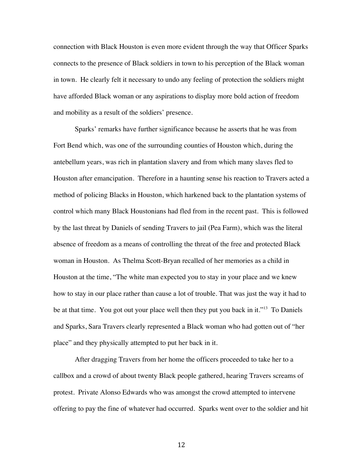connection with Black Houston is even more evident through the way that Officer Sparks connects to the presence of Black soldiers in town to his perception of the Black woman in town. He clearly felt it necessary to undo any feeling of protection the soldiers might have afforded Black woman or any aspirations to display more bold action of freedom and mobility as a result of the soldiers' presence.

Sparks' remarks have further significance because he asserts that he was from Fort Bend which, was one of the surrounding counties of Houston which, during the antebellum years, was rich in plantation slavery and from which many slaves fled to Houston after emancipation. Therefore in a haunting sense his reaction to Travers acted a method of policing Blacks in Houston, which harkened back to the plantation systems of control which many Black Houstonians had fled from in the recent past. This is followed by the last threat by Daniels of sending Travers to jail (Pea Farm), which was the literal absence of freedom as a means of controlling the threat of the free and protected Black woman in Houston. As Thelma Scott-Bryan recalled of her memories as a child in Houston at the time, "The white man expected you to stay in your place and we knew how to stay in our place rather than cause a lot of trouble. That was just the way it had to be at that time. You got out your place well then they put you back in it."<sup>13</sup> To Daniels and Sparks, Sara Travers clearly represented a Black woman who had gotten out of "her place" and they physically attempted to put her back in it.

After dragging Travers from her home the officers proceeded to take her to a callbox and a crowd of about twenty Black people gathered, hearing Travers screams of protest. Private Alonso Edwards who was amongst the crowd attempted to intervene offering to pay the fine of whatever had occurred. Sparks went over to the soldier and hit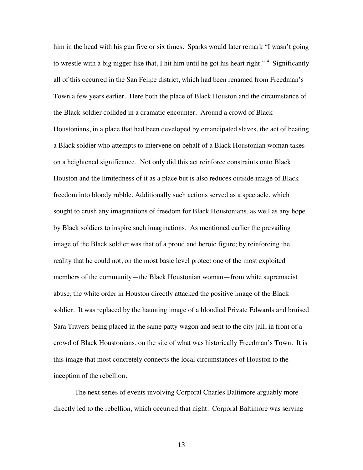him in the head with his gun five or six times. Sparks would later remark "I wasn't going to wrestle with a big nigger like that, I hit him until he got his heart right."<sup>14</sup> Significantly all of this occurred in the San Felipe district, which had been renamed from Freedman's Town a few years earlier. Here both the place of Black Houston and the circumstance of the Black soldier collided in a dramatic encounter. Around a crowd of Black Houstonians, in a place that had been developed by emancipated slaves, the act of beating a Black soldier who attempts to intervene on behalf of a Black Houstonian woman takes on a heightened significance. Not only did this act reinforce constraints onto Black Houston and the limitedness of it as a place but is also reduces outside image of Black freedom into bloody rubble. Additionally such actions served as a spectacle, which sought to crush any imaginations of freedom for Black Houstonians, as well as any hope by Black soldiers to inspire such imaginations. As mentioned earlier the prevailing image of the Black soldier was that of a proud and heroic figure; by reinforcing the reality that he could not, on the most basic level protect one of the most exploited members of the community—the Black Houstonian woman—from white supremacist abuse, the white order in Houston directly attacked the positive image of the Black soldier. It was replaced by the haunting image of a bloodied Private Edwards and bruised Sara Travers being placed in the same patty wagon and sent to the city jail, in front of a crowd of Black Houstonians, on the site of what was historically Freedman's Town. It is this image that most concretely connects the local circumstances of Houston to the inception of the rebellion.

The next series of events involving Corporal Charles Baltimore arguably more directly led to the rebellion, which occurred that night. Corporal Baltimore was serving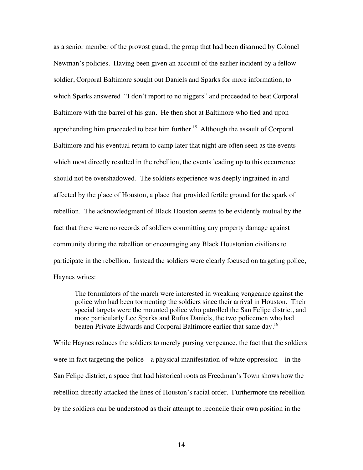as a senior member of the provost guard, the group that had been disarmed by Colonel Newman's policies. Having been given an account of the earlier incident by a fellow soldier, Corporal Baltimore sought out Daniels and Sparks for more information, to which Sparks answered "I don't report to no niggers" and proceeded to beat Corporal Baltimore with the barrel of his gun. He then shot at Baltimore who fled and upon apprehending him proceeded to beat him further. 15 Although the assault of Corporal Baltimore and his eventual return to camp later that night are often seen as the events which most directly resulted in the rebellion, the events leading up to this occurrence should not be overshadowed. The soldiers experience was deeply ingrained in and affected by the place of Houston, a place that provided fertile ground for the spark of rebellion. The acknowledgment of Black Houston seems to be evidently mutual by the fact that there were no records of soldiers committing any property damage against community during the rebellion or encouraging any Black Houstonian civilians to participate in the rebellion. Instead the soldiers were clearly focused on targeting police, Haynes writes:

The formulators of the march were interested in wreaking vengeance against the police who had been tormenting the soldiers since their arrival in Houston. Their special targets were the mounted police who patrolled the San Felipe district, and more particularly Lee Sparks and Rufus Daniels, the two policemen who had beaten Private Edwards and Corporal Baltimore earlier that same day.<sup>16</sup>

While Haynes reduces the soldiers to merely pursing vengeance, the fact that the soldiers were in fact targeting the police—a physical manifestation of white oppression—in the San Felipe district, a space that had historical roots as Freedman's Town shows how the rebellion directly attacked the lines of Houston's racial order. Furthermore the rebellion by the soldiers can be understood as their attempt to reconcile their own position in the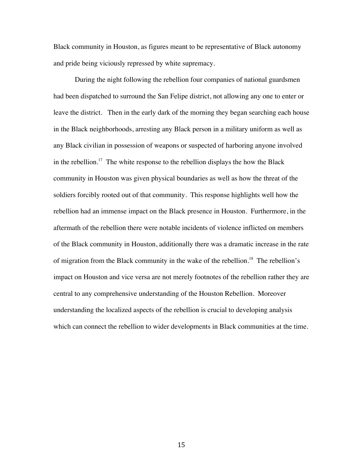Black community in Houston, as figures meant to be representative of Black autonomy and pride being viciously repressed by white supremacy.

During the night following the rebellion four companies of national guardsmen had been dispatched to surround the San Felipe district, not allowing any one to enter or leave the district. Then in the early dark of the morning they began searching each house in the Black neighborhoods, arresting any Black person in a military uniform as well as any Black civilian in possession of weapons or suspected of harboring anyone involved in the rebellion.<sup>17</sup> The white response to the rebellion displays the how the Black community in Houston was given physical boundaries as well as how the threat of the soldiers forcibly rooted out of that community. This response highlights well how the rebellion had an immense impact on the Black presence in Houston. Furthermore, in the aftermath of the rebellion there were notable incidents of violence inflicted on members of the Black community in Houston, additionally there was a dramatic increase in the rate of migration from the Black community in the wake of the rebellion. 18 The rebellion's impact on Houston and vice versa are not merely footnotes of the rebellion rather they are central to any comprehensive understanding of the Houston Rebellion. Moreover understanding the localized aspects of the rebellion is crucial to developing analysis which can connect the rebellion to wider developments in Black communities at the time.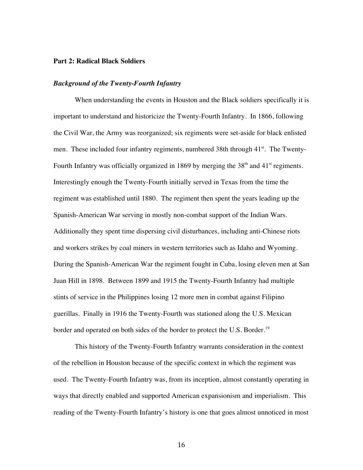#### **Part 2: Radical Black Soldiers**

### *Background of the Twenty-Fourth Infantry*

When understanding the events in Houston and the Black soldiers specifically it is important to understand and historicize the Twenty-Fourth Infantry. In 1866, following the Civil War, the Army was reorganized; six regiments were set-aside for black enlisted men. These included four infantry regiments, numbered 38th through 41<sup>st</sup>. The Twenty-Fourth Infantry was officially organized in 1869 by merging the  $38<sup>th</sup>$  and  $41<sup>st</sup>$  regiments. Interestingly enough the Twenty-Fourth initially served in Texas from the time the regiment was established until 1880. The regiment then spent the years leading up the Spanish-American War serving in mostly non-combat support of the Indian Wars. Additionally they spent time dispersing civil disturbances, including anti-Chinese riots and workers strikes by coal miners in western territories such as Idaho and Wyoming. During the Spanish-American War the regiment fought in Cuba, losing eleven men at San Juan Hill in 1898. Between 1899 and 1915 the Twenty-Fourth Infantry had multiple stints of service in the Philippines losing 12 more men in combat against Filipino guerillas. Finally in 1916 the Twenty-Fourth was stationed along the U.S. Mexican border and operated on both sides of the border to protect the U.S. Border.<sup>19</sup>

This history of the Twenty-Fourth Infantry warrants consideration in the context of the rebellion in Houston because of the specific context in which the regiment was used. The Twenty-Fourth Infantry was, from its inception, almost constantly operating in ways that directly enabled and supported American expansionism and imperialism. This reading of the Twenty-Fourth Infantry's history is one that goes almost unnoticed in most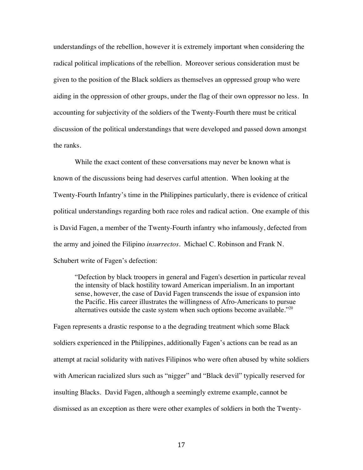understandings of the rebellion, however it is extremely important when considering the radical political implications of the rebellion. Moreover serious consideration must be given to the position of the Black soldiers as themselves an oppressed group who were aiding in the oppression of other groups, under the flag of their own oppressor no less. In accounting for subjectivity of the soldiers of the Twenty-Fourth there must be critical discussion of the political understandings that were developed and passed down amongst the ranks.

While the exact content of these conversations may never be known what is known of the discussions being had deserves carful attention. When looking at the Twenty-Fourth Infantry's time in the Philippines particularly, there is evidence of critical political understandings regarding both race roles and radical action. One example of this is David Fagen, a member of the Twenty-Fourth infantry who infamously, defected from the army and joined the Filipino *insurrectos*. Michael C. Robinson and Frank N. Schubert write of Fagen's defection:

"Defection by black troopers in general and Fagen's desertion in particular reveal the intensity of black hostility toward American imperialism. In an important sense, however, the case of David Fagen transcends the issue of expansion into the Pacific. His career illustrates the willingness of Afro-Americans to pursue alternatives outside the caste system when such options become available." $^{20}$ 

Fagen represents a drastic response to a the degrading treatment which some Black soldiers experienced in the Philippines, additionally Fagen's actions can be read as an attempt at racial solidarity with natives Filipinos who were often abused by white soldiers with American racialized slurs such as "nigger" and "Black devil" typically reserved for insulting Blacks. David Fagen, although a seemingly extreme example, cannot be dismissed as an exception as there were other examples of soldiers in both the Twenty-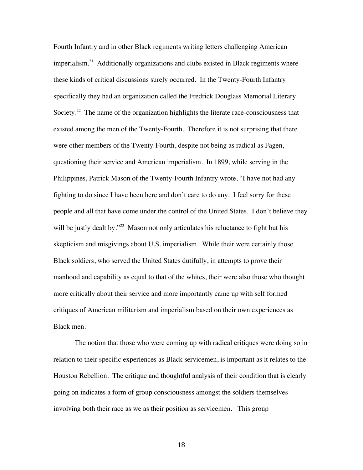Fourth Infantry and in other Black regiments writing letters challenging American imperialism.<sup>21</sup> Additionally organizations and clubs existed in Black regiments where these kinds of critical discussions surely occurred. In the Twenty-Fourth Infantry specifically they had an organization called the Fredrick Douglass Memorial Literary Society.<sup>22</sup> The name of the organization highlights the literate race-consciousness that existed among the men of the Twenty-Fourth. Therefore it is not surprising that there were other members of the Twenty-Fourth, despite not being as radical as Fagen, questioning their service and American imperialism. In 1899, while serving in the Philippines, Patrick Mason of the Twenty-Fourth Infantry wrote, "I have not had any fighting to do since I have been here and don't care to do any. I feel sorry for these people and all that have come under the control of the United States. I don't believe they will be justly dealt by."<sup>23</sup> Mason not only articulates his reluctance to fight but his skepticism and misgivings about U.S. imperialism. While their were certainly those Black soldiers, who served the United States dutifully, in attempts to prove their manhood and capability as equal to that of the whites, their were also those who thought more critically about their service and more importantly came up with self formed critiques of American militarism and imperialism based on their own experiences as Black men.

The notion that those who were coming up with radical critiques were doing so in relation to their specific experiences as Black servicemen, is important as it relates to the Houston Rebellion. The critique and thoughtful analysis of their condition that is clearly going on indicates a form of group consciousness amongst the soldiers themselves involving both their race as we as their position as servicemen. This group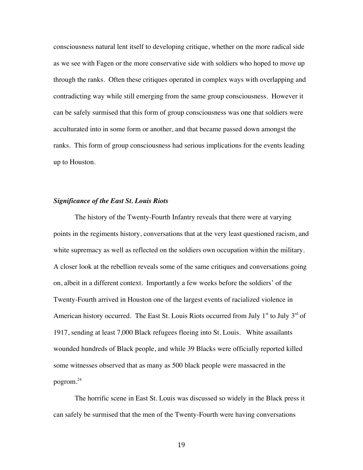consciousness natural lent itself to developing critique, whether on the more radical side as we see with Fagen or the more conservative side with soldiers who hoped to move up through the ranks. Often these critiques operated in complex ways with overlapping and contradicting way while still emerging from the same group consciousness. However it can be safely surmised that this form of group consciousness was one that soldiers were acculturated into in some form or another, and that became passed down amongst the ranks. This form of group consciousness had serious implications for the events leading up to Houston.

#### *Significance of the East St. Louis Riots*

The history of the Twenty-Fourth Infantry reveals that there were at varying points in the regiments history, conversations that at the very least questioned racism, and white supremacy as well as reflected on the soldiers own occupation within the military. A closer look at the rebellion reveals some of the same critiques and conversations going on, albeit in a different context. Importantly a few weeks before the soldiers' of the Twenty-Fourth arrived in Houston one of the largest events of racialized violence in American history occurred. The East St. Louis Riots occurred from July  $1<sup>st</sup>$  to July  $3<sup>rd</sup>$  of 1917, sending at least 7,000 Black refugees fleeing into St. Louis. White assailants wounded hundreds of Black people, and while 39 Blacks were officially reported killed some witnesses observed that as many as 500 black people were massacred in the pogrom.24

The horrific scene in East St. Louis was discussed so widely in the Black press it can safely be surmised that the men of the Twenty-Fourth were having conversations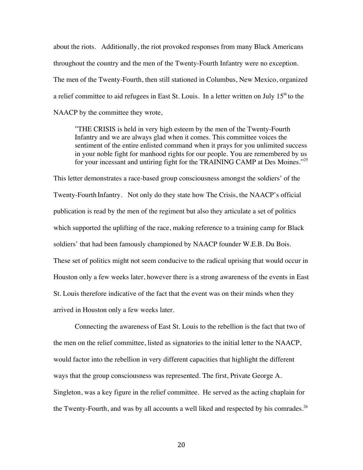about the riots. Additionally, the riot provoked responses from many Black Americans throughout the country and the men of the Twenty-Fourth Infantry were no exception. The men of the Twenty-Fourth, then still stationed in Columbus, New Mexico, organized a relief committee to aid refugees in East St. Louis. In a letter written on July  $15<sup>th</sup>$  to the NAACP by the committee they wrote,

"THE CRISIS is held in very high esteem by the men of the Twenty-Fourth Infantry and we are always glad when it comes. This committee voices the sentiment of the entire enlisted command when it prays for you unlimited success in your noble fight for manhood rights for our people. You are remembered by us for your incessant and untiring fight for the TRAINING CAMP at Des Moines."<sup>25</sup>

This letter demonstrates a race-based group consciousness amongst the soldiers' of the Twenty-Fourth Infantry. Not only do they state how The Crisis, the NAACP's official publication is read by the men of the regiment but also they articulate a set of politics which supported the uplifting of the race, making reference to a training camp for Black soldiers' that had been famously championed by NAACP founder W.E.B. Du Bois. These set of politics might not seem conducive to the radical uprising that would occur in Houston only a few weeks later, however there is a strong awareness of the events in East St. Louis therefore indicative of the fact that the event was on their minds when they arrived in Houston only a few weeks later.

Connecting the awareness of East St. Louis to the rebellion is the fact that two of the men on the relief committee, listed as signatories to the initial letter to the NAACP, would factor into the rebellion in very different capacities that highlight the different ways that the group consciousness was represented. The first, Private George A. Singleton, was a key figure in the relief committee. He served as the acting chaplain for the Twenty-Fourth, and was by all accounts a well liked and respected by his comrades.<sup>26</sup>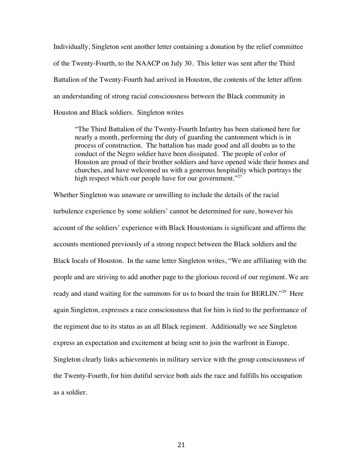Individually, Singleton sent another letter containing a donation by the relief committee of the Twenty-Fourth, to the NAACP on July 30. This letter was sent after the Third Battalion of the Twenty-Fourth had arrived in Houston, the contents of the letter affirm an understanding of strong racial consciousness between the Black community in Houston and Black soldiers. Singleton writes

"The Third Battalion of the Twenty-Fourth Infantry has been stationed here for nearly a month, performing the duty of guarding the cantonment which is in process of construction. The battalion has made good and all doubts as to the conduct of the Negro soldier have been dissipated. The people of color of Houston are proud of their brother soldiers and have opened wide their homes and churches, and have welcomed us with a generous hospitality which portrays the high respect which our people have for our government."<sup>27</sup>

Whether Singleton was unaware or unwilling to include the details of the racial turbulence experience by some soldiers' cannot be determined for sure, however his account of the soldiers' experience with Black Houstonians is significant and affirms the accounts mentioned previously of a strong respect between the Black soldiers and the Black locals of Houston. In the same letter Singleton writes, "We are affiliating with the people and are striving to add another page to the glorious record of our regiment. We are ready and stand waiting for the summons for us to board the train for BERLIN."<sup>28</sup> Here again Singleton, expresses a race consciousness that for him is tied to the performance of the regiment due to its status as an all Black regiment. Additionally we see Singleton express an expectation and excitement at being sent to join the warfront in Europe. Singleton clearly links achievements in military service with the group consciousness of the Twenty-Fourth, for him dutiful service both aids the race and fulfills his occupation as a soldier.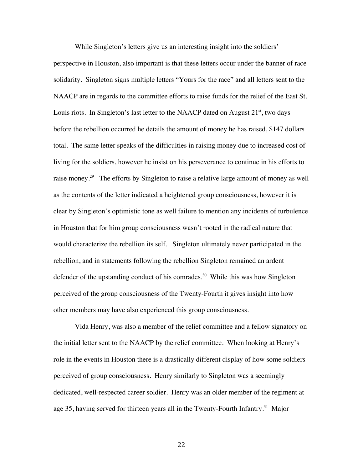While Singleton's letters give us an interesting insight into the soldiers'

perspective in Houston, also important is that these letters occur under the banner of race solidarity. Singleton signs multiple letters "Yours for the race" and all letters sent to the NAACP are in regards to the committee efforts to raise funds for the relief of the East St. Louis riots. In Singleton's last letter to the NAACP dated on August  $21<sup>st</sup>$ , two days before the rebellion occurred he details the amount of money he has raised, \$147 dollars total. The same letter speaks of the difficulties in raising money due to increased cost of living for the soldiers, however he insist on his perseverance to continue in his efforts to raise money.<sup>29</sup> The efforts by Singleton to raise a relative large amount of money as well as the contents of the letter indicated a heightened group consciousness, however it is clear by Singleton's optimistic tone as well failure to mention any incidents of turbulence in Houston that for him group consciousness wasn't rooted in the radical nature that would characterize the rebellion its self. Singleton ultimately never participated in the rebellion, and in statements following the rebellion Singleton remained an ardent defender of the upstanding conduct of his comrades.<sup>30</sup> While this was how Singleton perceived of the group consciousness of the Twenty-Fourth it gives insight into how other members may have also experienced this group consciousness.

Vida Henry, was also a member of the relief committee and a fellow signatory on the initial letter sent to the NAACP by the relief committee. When looking at Henry's role in the events in Houston there is a drastically different display of how some soldiers perceived of group consciousness. Henry similarly to Singleton was a seemingly dedicated, well-respected career soldier. Henry was an older member of the regiment at age 35, having served for thirteen years all in the Twenty-Fourth Infantry.<sup>31</sup> Major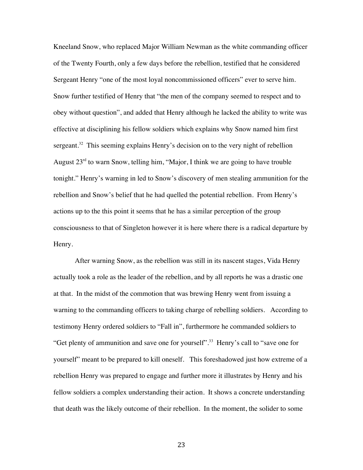Kneeland Snow, who replaced Major William Newman as the white commanding officer of the Twenty Fourth, only a few days before the rebellion, testified that he considered Sergeant Henry "one of the most loyal noncommissioned officers" ever to serve him. Snow further testified of Henry that "the men of the company seemed to respect and to obey without question", and added that Henry although he lacked the ability to write was effective at disciplining his fellow soldiers which explains why Snow named him first sergeant.<sup>32</sup> This seeming explains Henry's decision on to the very night of rebellion August  $23<sup>rd</sup>$  to warn Snow, telling him, "Major, I think we are going to have trouble tonight." Henry's warning in led to Snow's discovery of men stealing ammunition for the rebellion and Snow's belief that he had quelled the potential rebellion. From Henry's actions up to the this point it seems that he has a similar perception of the group consciousness to that of Singleton however it is here where there is a radical departure by Henry.

After warning Snow, as the rebellion was still in its nascent stages, Vida Henry actually took a role as the leader of the rebellion, and by all reports he was a drastic one at that. In the midst of the commotion that was brewing Henry went from issuing a warning to the commanding officers to taking charge of rebelling soldiers. According to testimony Henry ordered soldiers to "Fall in", furthermore he commanded soldiers to "Get plenty of ammunition and save one for yourself".<sup>33</sup> Henry's call to "save one for yourself" meant to be prepared to kill oneself. This foreshadowed just how extreme of a rebellion Henry was prepared to engage and further more it illustrates by Henry and his fellow soldiers a complex understanding their action. It shows a concrete understanding that death was the likely outcome of their rebellion. In the moment, the solider to some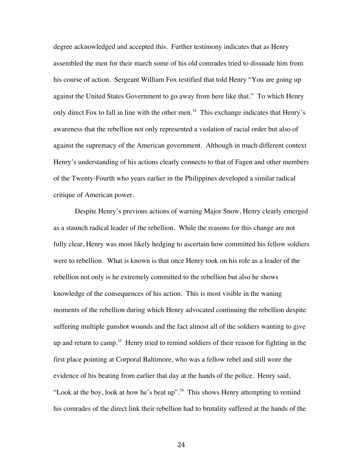degree acknowledged and accepted this. Further testimony indicates that as Henry assembled the men for their march some of his old comrades tried to dissuade him from his course of action. Sergeant William Fox testified that told Henry "You are going up against the United States Government to go away from here like that." To which Henry only direct Fox to fall in line with the other men.<sup>34</sup> This exchange indicates that Henry's awareness that the rebellion not only represented a violation of racial order but also of against the supremacy of the American government. Although in much different context Henry's understanding of his actions clearly connects to that of Fagen and other members of the Twenty-Fourth who years earlier in the Philippines developed a similar radical critique of American power.

Despite Henry's previous actions of warning Major Snow, Henry clearly emerged as a staunch radical leader of the rebellion. While the reasons for this change are not fully clear, Henry was most likely hedging to ascertain how committed his fellow soldiers were to rebellion. What is known is that once Henry took on his role as a leader of the rebellion not only is he extremely committed to the rebellion but also he shows knowledge of the consequences of his action. This is most visible in the waning moments of the rebellion during which Henry advocated continuing the rebellion despite suffering multiple gunshot wounds and the fact almost all of the soldiers wanting to give up and return to camp. <sup>35</sup> Henry tried to remind soldiers of their reason for fighting in the first place pointing at Corporal Baltimore, who was a fellow rebel and still wore the evidence of his beating from earlier that day at the hands of the police. Henry said, "Look at the boy, look at how he's beat up".<sup>36</sup> This shows Henry attempting to remind his comrades of the direct link their rebellion had to brutality suffered at the hands of the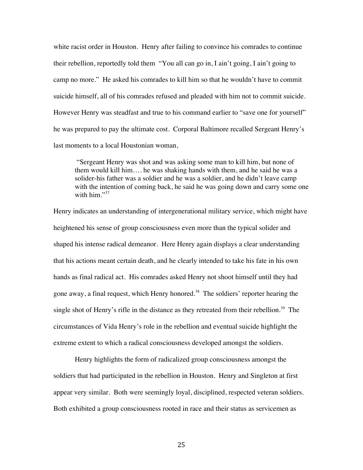white racist order in Houston. Henry after failing to convince his comrades to continue their rebellion, reportedly told them "You all can go in, I ain't going, I ain't going to camp no more." He asked his comrades to kill him so that he wouldn't have to commit suicide himself, all of his comrades refused and pleaded with him not to commit suicide. However Henry was steadfast and true to his command earlier to "save one for yourself" he was prepared to pay the ultimate cost. Corporal Baltimore recalled Sergeant Henry's last moments to a local Houstonian woman,

"Sergeant Henry was shot and was asking some man to kill him, but none of them would kill him…. he was shaking hands with them, and he said he was a solider-his father was a soldier and he was a soldier, and he didn't leave camp with the intention of coming back, he said he was going down and carry some one with him. $\overset{37}{\cdot}$ 

Henry indicates an understanding of intergenerational military service, which might have heightened his sense of group consciousness even more than the typical solider and shaped his intense radical demeanor. Here Henry again displays a clear understanding that his actions meant certain death, and he clearly intended to take his fate in his own hands as final radical act. His comrades asked Henry not shoot himself until they had gone away, a final request, which Henry honored.<sup>38</sup> The soldiers' reporter hearing the single shot of Henry's rifle in the distance as they retreated from their rebellion.<sup>39</sup> The circumstances of Vida Henry's role in the rebellion and eventual suicide highlight the extreme extent to which a radical consciousness developed amongst the soldiers.

Henry highlights the form of radicalized group consciousness amongst the soldiers that had participated in the rebellion in Houston. Henry and Singleton at first appear very similar. Both were seemingly loyal, disciplined, respected veteran soldiers. Both exhibited a group consciousness rooted in race and their status as servicemen as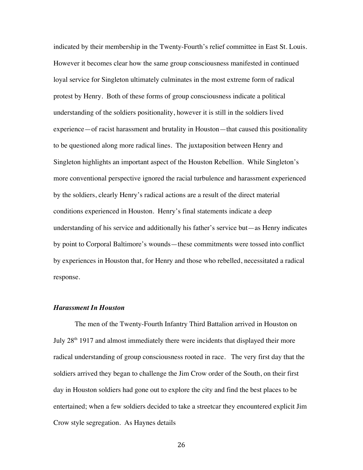indicated by their membership in the Twenty-Fourth's relief committee in East St. Louis. However it becomes clear how the same group consciousness manifested in continued loyal service for Singleton ultimately culminates in the most extreme form of radical protest by Henry. Both of these forms of group consciousness indicate a political understanding of the soldiers positionality, however it is still in the soldiers lived experience—of racist harassment and brutality in Houston—that caused this positionality to be questioned along more radical lines. The juxtaposition between Henry and Singleton highlights an important aspect of the Houston Rebellion. While Singleton's more conventional perspective ignored the racial turbulence and harassment experienced by the soldiers, clearly Henry's radical actions are a result of the direct material conditions experienced in Houston. Henry's final statements indicate a deep understanding of his service and additionally his father's service but—as Henry indicates by point to Corporal Baltimore's wounds—these commitments were tossed into conflict by experiences in Houston that, for Henry and those who rebelled, necessitated a radical response.

### *Harassment In Houston*

The men of the Twenty-Fourth Infantry Third Battalion arrived in Houston on July 28<sup>th</sup> 1917 and almost immediately there were incidents that displayed their more radical understanding of group consciousness rooted in race. The very first day that the soldiers arrived they began to challenge the Jim Crow order of the South, on their first day in Houston soldiers had gone out to explore the city and find the best places to be entertained; when a few soldiers decided to take a streetcar they encountered explicit Jim Crow style segregation. As Haynes details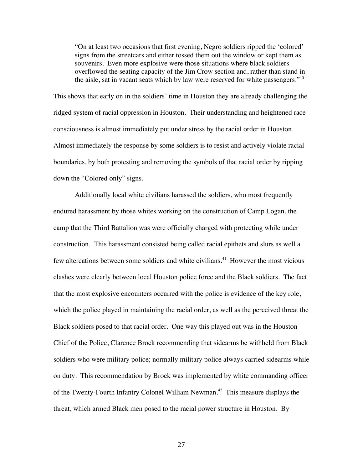"On at least two occasions that first evening, Negro soldiers ripped the 'colored' signs from the streetcars and either tossed them out the window or kept them as souvenirs. Even more explosive were those situations where black soldiers overflowed the seating capacity of the Jim Crow section and, rather than stand in the aisle, sat in vacant seats which by law were reserved for white passengers."<sup>40</sup>

This shows that early on in the soldiers' time in Houston they are already challenging the ridged system of racial oppression in Houston. Their understanding and heightened race consciousness is almost immediately put under stress by the racial order in Houston. Almost immediately the response by some soldiers is to resist and actively violate racial boundaries, by both protesting and removing the symbols of that racial order by ripping down the "Colored only" signs.

Additionally local white civilians harassed the soldiers, who most frequently endured harassment by those whites working on the construction of Camp Logan, the camp that the Third Battalion was were officially charged with protecting while under construction. This harassment consisted being called racial epithets and slurs as well a few altercations between some soldiers and white civilians. 41 However the most vicious clashes were clearly between local Houston police force and the Black soldiers. The fact that the most explosive encounters occurred with the police is evidence of the key role, which the police played in maintaining the racial order, as well as the perceived threat the Black soldiers posed to that racial order. One way this played out was in the Houston Chief of the Police, Clarence Brock recommending that sidearms be withheld from Black soldiers who were military police; normally military police always carried sidearms while on duty. This recommendation by Brock was implemented by white commanding officer of the Twenty-Fourth Infantry Colonel William Newman.<sup>42</sup> This measure displays the threat, which armed Black men posed to the racial power structure in Houston. By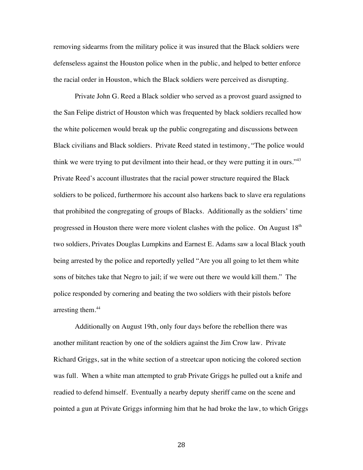removing sidearms from the military police it was insured that the Black soldiers were defenseless against the Houston police when in the public, and helped to better enforce the racial order in Houston, which the Black soldiers were perceived as disrupting.

Private John G. Reed a Black soldier who served as a provost guard assigned to the San Felipe district of Houston which was frequented by black soldiers recalled how the white policemen would break up the public congregating and discussions between Black civilians and Black soldiers. Private Reed stated in testimony, "The police would think we were trying to put devilment into their head, or they were putting it in ours." $43$ Private Reed's account illustrates that the racial power structure required the Black soldiers to be policed, furthermore his account also harkens back to slave era regulations that prohibited the congregating of groups of Blacks. Additionally as the soldiers' time progressed in Houston there were more violent clashes with the police. On August 18<sup>th</sup> two soldiers, Privates Douglas Lumpkins and Earnest E. Adams saw a local Black youth being arrested by the police and reportedly yelled "Are you all going to let them white sons of bitches take that Negro to jail; if we were out there we would kill them." The police responded by cornering and beating the two soldiers with their pistols before arresting them.<sup>44</sup>

Additionally on August 19th, only four days before the rebellion there was another militant reaction by one of the soldiers against the Jim Crow law. Private Richard Griggs, sat in the white section of a streetcar upon noticing the colored section was full. When a white man attempted to grab Private Griggs he pulled out a knife and readied to defend himself. Eventually a nearby deputy sheriff came on the scene and pointed a gun at Private Griggs informing him that he had broke the law, to which Griggs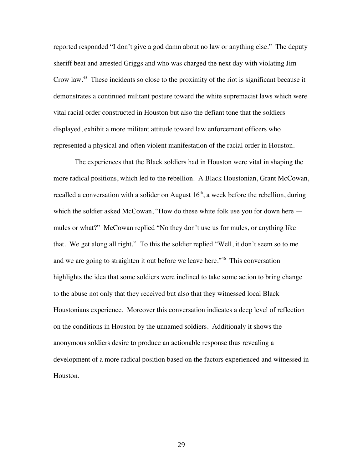reported responded "I don't give a god damn about no law or anything else." The deputy sheriff beat and arrested Griggs and who was charged the next day with violating Jim Crow law.45 These incidents so close to the proximity of the riot is significant because it demonstrates a continued militant posture toward the white supremacist laws which were vital racial order constructed in Houston but also the defiant tone that the soldiers displayed, exhibit a more militant attitude toward law enforcement officers who represented a physical and often violent manifestation of the racial order in Houston.

The experiences that the Black soldiers had in Houston were vital in shaping the more radical positions, which led to the rebellion. A Black Houstonian, Grant McCowan, recalled a conversation with a solider on August  $16<sup>th</sup>$ , a week before the rebellion, during which the soldier asked McCowan, "How do these white folk use you for down here  $$ mules or what?" McCowan replied "No they don't use us for mules, or anything like that. We get along all right." To this the soldier replied "Well, it don't seem so to me and we are going to straighten it out before we leave here."<sup>46</sup> This conversation highlights the idea that some soldiers were inclined to take some action to bring change to the abuse not only that they received but also that they witnessed local Black Houstonians experience. Moreover this conversation indicates a deep level of reflection on the conditions in Houston by the unnamed soldiers. Additionaly it shows the anonymous soldiers desire to produce an actionable response thus revealing a development of a more radical position based on the factors experienced and witnessed in Houston.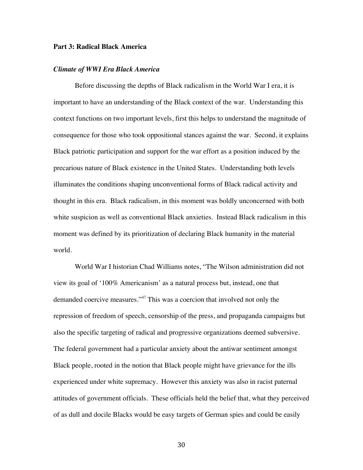## **Part 3: Radical Black America**

#### *Climate of WWI Era Black America*

Before discussing the depths of Black radicalism in the World War I era, it is important to have an understanding of the Black context of the war. Understanding this context functions on two important levels, first this helps to understand the magnitude of consequence for those who took oppositional stances against the war. Second, it explains Black patriotic participation and support for the war effort as a position induced by the precarious nature of Black existence in the United States. Understanding both levels illuminates the conditions shaping unconventional forms of Black radical activity and thought in this era. Black radicalism, in this moment was boldly unconcerned with both white suspicion as well as conventional Black anxieties. Instead Black radicalism in this moment was defined by its prioritization of declaring Black humanity in the material world.

World War I historian Chad Williams notes, "The Wilson administration did not view its goal of '100% Americanism' as a natural process but, instead, one that demanded coercive measures."<sup>47</sup> This was a coercion that involved not only the repression of freedom of speech, censorship of the press, and propaganda campaigns but also the specific targeting of radical and progressive organizations deemed subversive. The federal government had a particular anxiety about the antiwar sentiment amongst Black people, rooted in the notion that Black people might have grievance for the ills experienced under white supremacy. However this anxiety was also in racist paternal attitudes of government officials. These officials held the belief that, what they perceived of as dull and docile Blacks would be easy targets of German spies and could be easily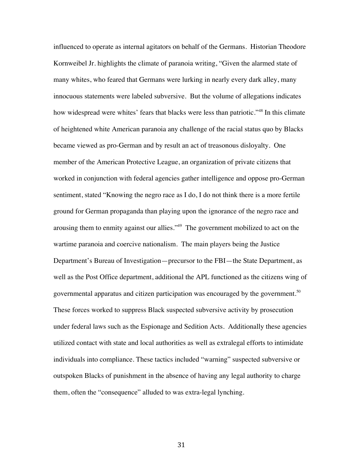influenced to operate as internal agitators on behalf of the Germans. Historian Theodore Kornweibel Jr. highlights the climate of paranoia writing, "Given the alarmed state of many whites, who feared that Germans were lurking in nearly every dark alley, many innocuous statements were labeled subversive. But the volume of allegations indicates how widespread were whites' fears that blacks were less than patriotic."<sup>48</sup> In this climate of heightened white American paranoia any challenge of the racial status quo by Blacks became viewed as pro-German and by result an act of treasonous disloyalty. One member of the American Protective League, an organization of private citizens that worked in conjunction with federal agencies gather intelligence and oppose pro-German sentiment, stated "Knowing the negro race as I do, I do not think there is a more fertile ground for German propaganda than playing upon the ignorance of the negro race and arousing them to enmity against our allies."49 The government mobilized to act on the wartime paranoia and coercive nationalism. The main players being the Justice Department's Bureau of Investigation—precursor to the FBI—the State Department, as well as the Post Office department, additional the APL functioned as the citizens wing of governmental apparatus and citizen participation was encouraged by the government.<sup>50</sup> These forces worked to suppress Black suspected subversive activity by prosecution under federal laws such as the Espionage and Sedition Acts. Additionally these agencies utilized contact with state and local authorities as well as extralegal efforts to intimidate individuals into compliance. These tactics included "warning" suspected subversive or outspoken Blacks of punishment in the absence of having any legal authority to charge them, often the "consequence" alluded to was extra-legal lynching.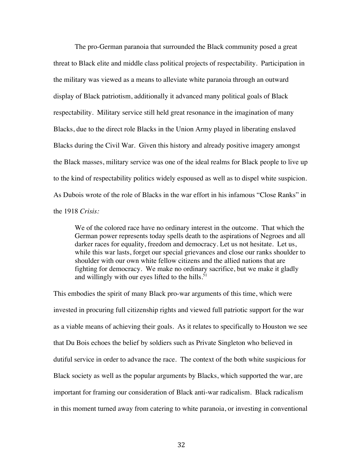The pro-German paranoia that surrounded the Black community posed a great threat to Black elite and middle class political projects of respectability. Participation in the military was viewed as a means to alleviate white paranoia through an outward display of Black patriotism, additionally it advanced many political goals of Black respectability. Military service still held great resonance in the imagination of many Blacks, due to the direct role Blacks in the Union Army played in liberating enslaved Blacks during the Civil War. Given this history and already positive imagery amongst the Black masses, military service was one of the ideal realms for Black people to live up to the kind of respectability politics widely espoused as well as to dispel white suspicion. As Dubois wrote of the role of Blacks in the war effort in his infamous "Close Ranks" in the 1918 *Crisis:*

We of the colored race have no ordinary interest in the outcome. That which the German power represents today spells death to the aspirations of Negroes and all darker races for equality, freedom and democracy. Let us not hesitate. Let us, while this war lasts, forget our special grievances and close our ranks shoulder to shoulder with our own white fellow citizens and the allied nations that are fighting for democracy. We make no ordinary sacrifice, but we make it gladly and willingly with our eyes lifted to the hills. $51$ 

This embodies the spirit of many Black pro-war arguments of this time, which were invested in procuring full citizenship rights and viewed full patriotic support for the war as a viable means of achieving their goals. As it relates to specifically to Houston we see that Du Bois echoes the belief by soldiers such as Private Singleton who believed in dutiful service in order to advance the race. The context of the both white suspicious for Black society as well as the popular arguments by Blacks, which supported the war, are important for framing our consideration of Black anti-war radicalism. Black radicalism in this moment turned away from catering to white paranoia, or investing in conventional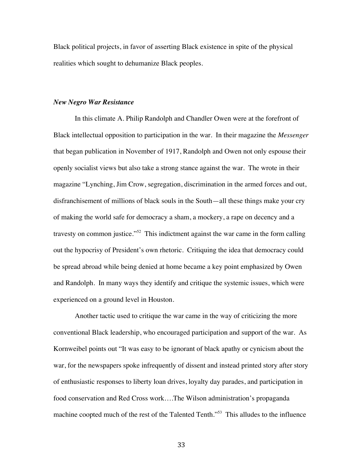Black political projects, in favor of asserting Black existence in spite of the physical realities which sought to dehumanize Black peoples.

## *New Negro War Resistance*

In this climate A. Philip Randolph and Chandler Owen were at the forefront of Black intellectual opposition to participation in the war. In their magazine the *Messenger* that began publication in November of 1917, Randolph and Owen not only espouse their openly socialist views but also take a strong stance against the war. The wrote in their magazine "Lynching, Jim Crow, segregation, discrimination in the armed forces and out, disfranchisement of millions of black souls in the South—all these things make your cry of making the world safe for democracy a sham, a mockery, a rape on decency and a travesty on common justice."<sup>52</sup> This indictment against the war came in the form calling out the hypocrisy of President's own rhetoric. Critiquing the idea that democracy could be spread abroad while being denied at home became a key point emphasized by Owen and Randolph. In many ways they identify and critique the systemic issues, which were experienced on a ground level in Houston.

Another tactic used to critique the war came in the way of criticizing the more conventional Black leadership, who encouraged participation and support of the war. As Kornweibel points out "It was easy to be ignorant of black apathy or cynicism about the war, for the newspapers spoke infrequently of dissent and instead printed story after story of enthusiastic responses to liberty loan drives, loyalty day parades, and participation in food conservation and Red Cross work….The Wilson administration's propaganda machine coopted much of the rest of the Talented Tenth."53 This alludes to the influence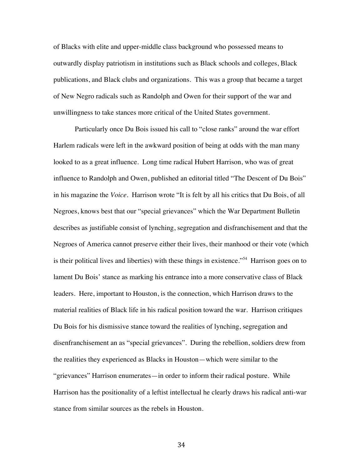of Blacks with elite and upper-middle class background who possessed means to outwardly display patriotism in institutions such as Black schools and colleges, Black publications, and Black clubs and organizations. This was a group that became a target of New Negro radicals such as Randolph and Owen for their support of the war and unwillingness to take stances more critical of the United States government.

Particularly once Du Bois issued his call to "close ranks" around the war effort Harlem radicals were left in the awkward position of being at odds with the man many looked to as a great influence. Long time radical Hubert Harrison, who was of great influence to Randolph and Owen, published an editorial titled "The Descent of Du Bois" in his magazine the *Voice.* Harrison wrote "It is felt by all his critics that Du Bois, of all Negroes, knows best that our "special grievances" which the War Department Bulletin describes as justifiable consist of lynching, segregation and disfranchisement and that the Negroes of America cannot preserve either their lives, their manhood or their vote (which is their political lives and liberties) with these things in existence."<sup>54</sup> Harrison goes on to lament Du Bois' stance as marking his entrance into a more conservative class of Black leaders. Here, important to Houston, is the connection, which Harrison draws to the material realities of Black life in his radical position toward the war. Harrison critiques Du Bois for his dismissive stance toward the realities of lynching, segregation and disenfranchisement an as "special grievances". During the rebellion, soldiers drew from the realities they experienced as Blacks in Houston—which were similar to the "grievances" Harrison enumerates—in order to inform their radical posture. While Harrison has the positionality of a leftist intellectual he clearly draws his radical anti-war stance from similar sources as the rebels in Houston.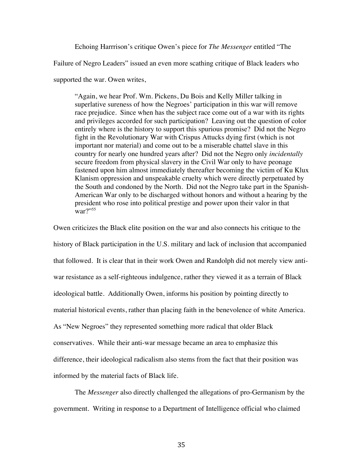Echoing Harrrison's critique Owen's piece for *The Messenger* entitled "The

Failure of Negro Leaders" issued an even more scathing critique of Black leaders who

supported the war. Owen writes,

"Again, we hear Prof. Wm. Pickens, Du Bois and Kelly Miller talking in superlative sureness of how the Negroes' participation in this war will remove race prejudice. Since when has the subject race come out of a war with its rights and privileges accorded for such participation? Leaving out the question of color entirely where is the history to support this spurious promise? Did not the Negro fight in the Revolutionary War with Crispus Attucks dying first (which is not important nor material) and come out to be a miserable chattel slave in this country for nearly one hundred years after? Did not the Negro only *incidentally*  secure freedom from physical slavery in the Civil War only to have peonage fastened upon him almost immediately thereafter becoming the victim of Ku Klux Klanism oppression and unspeakable cruelty which were directly perpetuated by the South and condoned by the North. Did not the Negro take part in the Spanish-American War only to be discharged without honors and without a hearing by the president who rose into political prestige and power upon their valor in that war?"<sup>55</sup>

Owen criticizes the Black elite position on the war and also connects his critique to the history of Black participation in the U.S. military and lack of inclusion that accompanied that followed. It is clear that in their work Owen and Randolph did not merely view antiwar resistance as a self-righteous indulgence, rather they viewed it as a terrain of Black ideological battle. Additionally Owen, informs his position by pointing directly to material historical events, rather than placing faith in the benevolence of white America. As "New Negroes" they represented something more radical that older Black conservatives. While their anti-war message became an area to emphasize this difference, their ideological radicalism also stems from the fact that their position was informed by the material facts of Black life.

The *Messenger* also directly challenged the allegations of pro-Germanism by the government. Writing in response to a Department of Intelligence official who claimed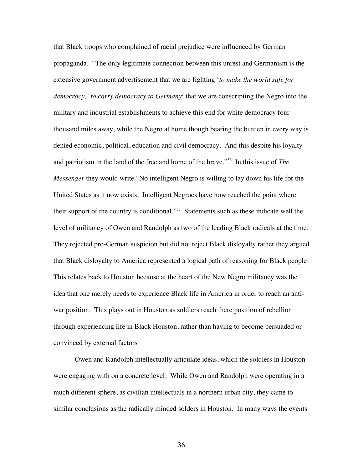that Black troops who complained of racial prejudice were influenced by German propaganda, "The only legitimate connection between this unrest and Germanism is the extensive government advertisement that we are fighting '*to make the world safe for democracy,' to carry democracy to Germany*; that we are conscripting the Negro into the military and industrial establishments to achieve this end for white democracy four thousand miles away, while the Negro at home though bearing the burden in every way is denied economic, political, education and civil democracy. And this despite his loyalty and patriotism in the land of the free and home of the brave."56 In this issue of *The Messenger* they would write "No intelligent Negro is willing to lay down his life for the United States as it now exists. Intelligent Negroes have now reached the point where their support of the country is conditional."57 Statements such as these indicate well the level of militancy of Owen and Randolph as two of the leading Black radicals at the time. They rejected pro-German suspicion but did not reject Black disloyalty rather they argued that Black disloyalty to America represented a logical path of reasoning for Black people. This relates back to Houston because at the heart of the New Negro militancy was the idea that one merely needs to experience Black life in America in order to reach an antiwar position. This plays out in Houston as soldiers reach there position of rebellion through experiencing life in Black Houston, rather than having to become persuaded or convinced by external factors

Owen and Randolph intellectually articulate ideas, which the soldiers in Houston were engaging with on a concrete level. While Owen and Randolph were operating in a much different sphere, as civilian intellectuals in a northern urban city, they came to similar conclusions as the radically minded solders in Houston. In many ways the events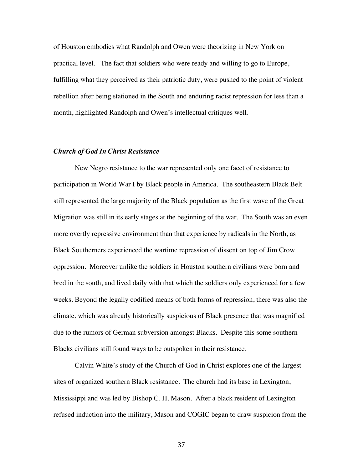of Houston embodies what Randolph and Owen were theorizing in New York on practical level. The fact that soldiers who were ready and willing to go to Europe, fulfilling what they perceived as their patriotic duty, were pushed to the point of violent rebellion after being stationed in the South and enduring racist repression for less than a month, highlighted Randolph and Owen's intellectual critiques well.

# *Church of God In Christ Resistance*

New Negro resistance to the war represented only one facet of resistance to participation in World War I by Black people in America. The southeastern Black Belt still represented the large majority of the Black population as the first wave of the Great Migration was still in its early stages at the beginning of the war. The South was an even more overtly repressive environment than that experience by radicals in the North, as Black Southerners experienced the wartime repression of dissent on top of Jim Crow oppression. Moreover unlike the soldiers in Houston southern civilians were born and bred in the south, and lived daily with that which the soldiers only experienced for a few weeks. Beyond the legally codified means of both forms of repression, there was also the climate, which was already historically suspicious of Black presence that was magnified due to the rumors of German subversion amongst Blacks. Despite this some southern Blacks civilians still found ways to be outspoken in their resistance.

Calvin White's study of the Church of God in Christ explores one of the largest sites of organized southern Black resistance. The church had its base in Lexington, Mississippi and was led by Bishop C. H. Mason. After a black resident of Lexington refused induction into the military, Mason and COGIC began to draw suspicion from the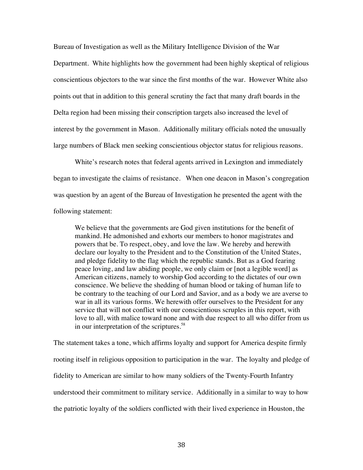Bureau of Investigation as well as the Military Intelligence Division of the War Department. White highlights how the government had been highly skeptical of religious conscientious objectors to the war since the first months of the war. However White also points out that in addition to this general scrutiny the fact that many draft boards in the Delta region had been missing their conscription targets also increased the level of interest by the government in Mason. Additionally military officials noted the unusually large numbers of Black men seeking conscientious objector status for religious reasons.

White's research notes that federal agents arrived in Lexington and immediately began to investigate the claims of resistance. When one deacon in Mason's congregation was question by an agent of the Bureau of Investigation he presented the agent with the following statement:

We believe that the governments are God given institutions for the benefit of mankind. He admonished and exhorts our members to honor magistrates and powers that be. To respect, obey, and love the law. We hereby and herewith declare our loyalty to the President and to the Constitution of the United States, and pledge fidelity to the flag which the republic stands. But as a God fearing peace loving, and law abiding people, we only claim or [not a legible word] as American citizens, namely to worship God according to the dictates of our own conscience. We believe the shedding of human blood or taking of human life to be contrary to the teaching of our Lord and Savior, and as a body we are averse to war in all its various forms. We herewith offer ourselves to the President for any service that will not conflict with our conscientious scruples in this report, with love to all, with malice toward none and with due respect to all who differ from us in our interpretation of the scriptures.<sup>58</sup>

The statement takes a tone, which affirms loyalty and support for America despite firmly rooting itself in religious opposition to participation in the war. The loyalty and pledge of fidelity to American are similar to how many soldiers of the Twenty-Fourth Infantry understood their commitment to military service. Additionally in a similar to way to how the patriotic loyalty of the soldiers conflicted with their lived experience in Houston, the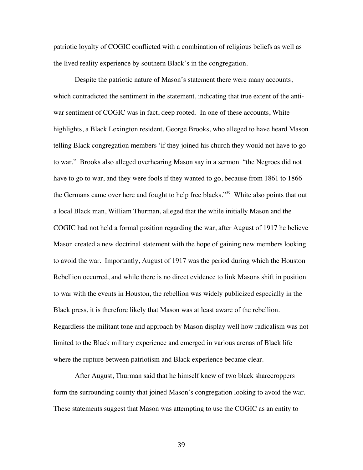patriotic loyalty of COGIC conflicted with a combination of religious beliefs as well as the lived reality experience by southern Black's in the congregation.

Despite the patriotic nature of Mason's statement there were many accounts, which contradicted the sentiment in the statement, indicating that true extent of the antiwar sentiment of COGIC was in fact, deep rooted. In one of these accounts, White highlights, a Black Lexington resident, George Brooks, who alleged to have heard Mason telling Black congregation members 'if they joined his church they would not have to go to war." Brooks also alleged overhearing Mason say in a sermon "the Negroes did not have to go to war, and they were fools if they wanted to go, because from 1861 to 1866 the Germans came over here and fought to help free blacks."<sup>59</sup> White also points that out a local Black man, William Thurman, alleged that the while initially Mason and the COGIC had not held a formal position regarding the war, after August of 1917 he believe Mason created a new doctrinal statement with the hope of gaining new members looking to avoid the war. Importantly, August of 1917 was the period during which the Houston Rebellion occurred, and while there is no direct evidence to link Masons shift in position to war with the events in Houston, the rebellion was widely publicized especially in the Black press, it is therefore likely that Mason was at least aware of the rebellion. Regardless the militant tone and approach by Mason display well how radicalism was not limited to the Black military experience and emerged in various arenas of Black life where the rupture between patriotism and Black experience became clear.

After August, Thurman said that he himself knew of two black sharecroppers form the surrounding county that joined Mason's congregation looking to avoid the war. These statements suggest that Mason was attempting to use the COGIC as an entity to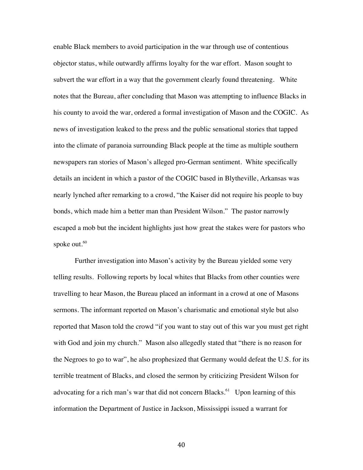enable Black members to avoid participation in the war through use of contentious objector status, while outwardly affirms loyalty for the war effort. Mason sought to subvert the war effort in a way that the government clearly found threatening. White notes that the Bureau, after concluding that Mason was attempting to influence Blacks in his county to avoid the war, ordered a formal investigation of Mason and the COGIC. As news of investigation leaked to the press and the public sensational stories that tapped into the climate of paranoia surrounding Black people at the time as multiple southern newspapers ran stories of Mason's alleged pro-German sentiment. White specifically details an incident in which a pastor of the COGIC based in Blytheville, Arkansas was nearly lynched after remarking to a crowd, "the Kaiser did not require his people to buy bonds, which made him a better man than President Wilson." The pastor narrowly escaped a mob but the incident highlights just how great the stakes were for pastors who spoke out.<sup>60</sup>

Further investigation into Mason's activity by the Bureau yielded some very telling results. Following reports by local whites that Blacks from other counties were travelling to hear Mason, the Bureau placed an informant in a crowd at one of Masons sermons. The informant reported on Mason's charismatic and emotional style but also reported that Mason told the crowd "if you want to stay out of this war you must get right with God and join my church." Mason also allegedly stated that "there is no reason for the Negroes to go to war", he also prophesized that Germany would defeat the U.S. for its terrible treatment of Blacks, and closed the sermon by criticizing President Wilson for advocating for a rich man's war that did not concern Blacks.<sup>61</sup> Upon learning of this information the Department of Justice in Jackson, Mississippi issued a warrant for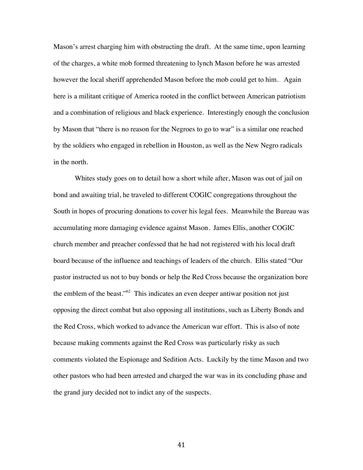Mason's arrest charging him with obstructing the draft. At the same time, upon learning of the charges, a white mob formed threatening to lynch Mason before he was arrested however the local sheriff apprehended Mason before the mob could get to him. Again here is a militant critique of America rooted in the conflict between American patriotism and a combination of religious and black experience. Interestingly enough the conclusion by Mason that "there is no reason for the Negroes to go to war" is a similar one reached by the soldiers who engaged in rebellion in Houston, as well as the New Negro radicals in the north.

Whites study goes on to detail how a short while after, Mason was out of jail on bond and awaiting trial, he traveled to different COGIC congregations throughout the South in hopes of procuring donations to cover his legal fees. Meanwhile the Bureau was accumulating more damaging evidence against Mason. James Ellis, another COGIC church member and preacher confessed that he had not registered with his local draft board because of the influence and teachings of leaders of the church. Ellis stated "Our pastor instructed us not to buy bonds or help the Red Cross because the organization bore the emblem of the beast."62 This indicates an even deeper antiwar position not just opposing the direct combat but also opposing all institutions, such as Liberty Bonds and the Red Cross, which worked to advance the American war effort. This is also of note because making comments against the Red Cross was particularly risky as such comments violated the Espionage and Sedition Acts. Luckily by the time Mason and two other pastors who had been arrested and charged the war was in its concluding phase and the grand jury decided not to indict any of the suspects.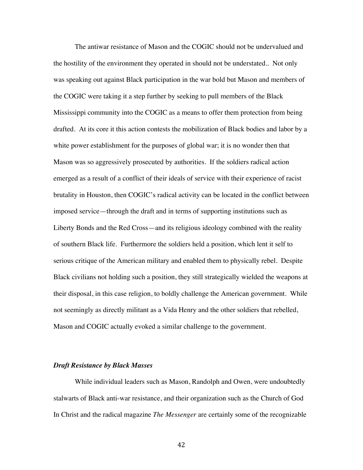The antiwar resistance of Mason and the COGIC should not be undervalued and the hostility of the environment they operated in should not be understated.. Not only was speaking out against Black participation in the war bold but Mason and members of the COGIC were taking it a step further by seeking to pull members of the Black Mississippi community into the COGIC as a means to offer them protection from being drafted. At its core it this action contests the mobilization of Black bodies and labor by a white power establishment for the purposes of global war; it is no wonder then that Mason was so aggressively prosecuted by authorities. If the soldiers radical action emerged as a result of a conflict of their ideals of service with their experience of racist brutality in Houston, then COGIC's radical activity can be located in the conflict between imposed service—through the draft and in terms of supporting institutions such as Liberty Bonds and the Red Cross—and its religious ideology combined with the reality of southern Black life. Furthermore the soldiers held a position, which lent it self to serious critique of the American military and enabled them to physically rebel. Despite Black civilians not holding such a position, they still strategically wielded the weapons at their disposal, in this case religion, to boldly challenge the American government. While not seemingly as directly militant as a Vida Henry and the other soldiers that rebelled, Mason and COGIC actually evoked a similar challenge to the government.

## *Draft Resistance by Black Masses*

While individual leaders such as Mason, Randolph and Owen, were undoubtedly stalwarts of Black anti-war resistance, and their organization such as the Church of God In Christ and the radical magazine *The Messenger* are certainly some of the recognizable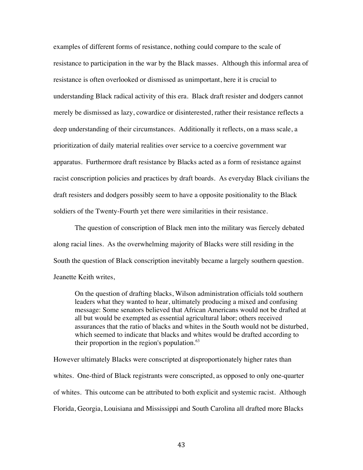examples of different forms of resistance, nothing could compare to the scale of resistance to participation in the war by the Black masses. Although this informal area of resistance is often overlooked or dismissed as unimportant, here it is crucial to understanding Black radical activity of this era. Black draft resister and dodgers cannot merely be dismissed as lazy, cowardice or disinterested, rather their resistance reflects a deep understanding of their circumstances. Additionally it reflects, on a mass scale, a prioritization of daily material realities over service to a coercive government war apparatus. Furthermore draft resistance by Blacks acted as a form of resistance against racist conscription policies and practices by draft boards. As everyday Black civilians the draft resisters and dodgers possibly seem to have a opposite positionality to the Black soldiers of the Twenty-Fourth yet there were similarities in their resistance.

The question of conscription of Black men into the military was fiercely debated along racial lines. As the overwhelming majority of Blacks were still residing in the South the question of Black conscription inevitably became a largely southern question. Jeanette Keith writes,

On the question of drafting blacks, Wilson administration officials told southern leaders what they wanted to hear, ultimately producing a mixed and confusing message: Some senators believed that African Americans would not be drafted at all but would be exempted as essential agricultural labor; others received assurances that the ratio of blacks and whites in the South would not be disturbed, which seemed to indicate that blacks and whites would be drafted according to their proportion in the region's population. $63$ 

However ultimately Blacks were conscripted at disproportionately higher rates than whites. One-third of Black registrants were conscripted, as opposed to only one-quarter of whites. This outcome can be attributed to both explicit and systemic racist. Although Florida, Georgia, Louisiana and Mississippi and South Carolina all drafted more Blacks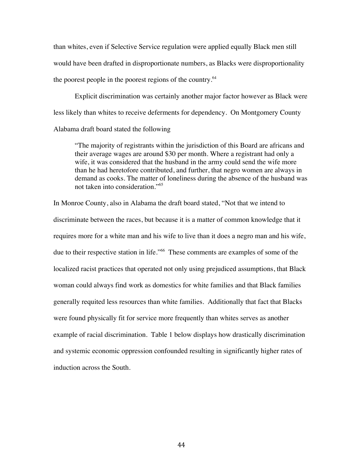than whites, even if Selective Service regulation were applied equally Black men still would have been drafted in disproportionate numbers, as Blacks were disproportionality the poorest people in the poorest regions of the country.<sup>64</sup>

Explicit discrimination was certainly another major factor however as Black were less likely than whites to receive deferments for dependency. On Montgomery County Alabama draft board stated the following

"The majority of registrants within the jurisdiction of this Board are africans and their average wages are around \$30 per month. Where a registrant had only a wife, it was considered that the husband in the army could send the wife more than he had heretofore contributed, and further, that negro women are always in demand as cooks. The matter of loneliness during the absence of the husband was not taken into consideration."<sup>65</sup>

In Monroe County, also in Alabama the draft board stated, "Not that we intend to discriminate between the races, but because it is a matter of common knowledge that it requires more for a white man and his wife to live than it does a negro man and his wife, due to their respective station in life."66 These comments are examples of some of the localized racist practices that operated not only using prejudiced assumptions, that Black woman could always find work as domestics for white families and that Black families generally requited less resources than white families. Additionally that fact that Blacks were found physically fit for service more frequently than whites serves as another example of racial discrimination. Table 1 below displays how drastically discrimination and systemic economic oppression confounded resulting in significantly higher rates of induction across the South.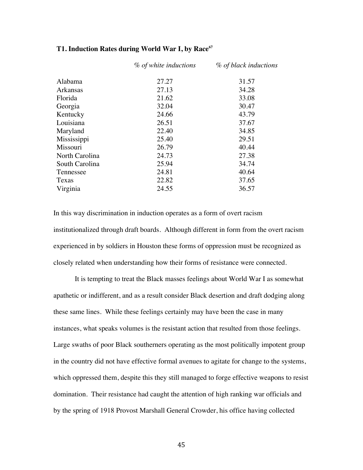|                | % of white inductions | % of black inductions |
|----------------|-----------------------|-----------------------|
| Alabama        | 27.27                 | 31.57                 |
| Arkansas       | 27.13                 | 34.28                 |
| Florida        | 21.62                 | 33.08                 |
| Georgia        | 32.04                 | 30.47                 |
| Kentucky       | 24.66                 | 43.79                 |
| Louisiana      | 26.51                 | 37.67                 |
| Maryland       | 22.40                 | 34.85                 |
| Mississippi    | 25.40                 | 29.51                 |
| Missouri       | 26.79                 | 40.44                 |
| North Carolina | 24.73                 | 27.38                 |
| South Carolina | 25.94                 | 34.74                 |
| Tennessee      | 24.81                 | 40.64                 |
| Texas          | 22.82                 | 37.65                 |
| Virginia       | 24.55                 | 36.57                 |

### T1. Induction Rates during World War I, by Race<sup>67</sup>

In this way discrimination in induction operates as a form of overt racism institutionalized through draft boards. Although different in form from the overt racism experienced in by soldiers in Houston these forms of oppression must be recognized as closely related when understanding how their forms of resistance were connected.

It is tempting to treat the Black masses feelings about World War I as somewhat apathetic or indifferent, and as a result consider Black desertion and draft dodging along these same lines. While these feelings certainly may have been the case in many instances, what speaks volumes is the resistant action that resulted from those feelings. Large swaths of poor Black southerners operating as the most politically impotent group in the country did not have effective formal avenues to agitate for change to the systems, which oppressed them, despite this they still managed to forge effective weapons to resist domination. Their resistance had caught the attention of high ranking war officials and by the spring of 1918 Provost Marshall General Crowder, his office having collected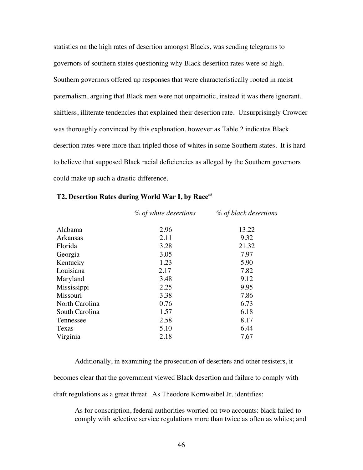statistics on the high rates of desertion amongst Blacks, was sending telegrams to governors of southern states questioning why Black desertion rates were so high. Southern governors offered up responses that were characteristically rooted in racist paternalism, arguing that Black men were not unpatriotic, instead it was there ignorant, shiftless, illiterate tendencies that explained their desertion rate. Unsurprisingly Crowder was thoroughly convinced by this explanation, however as Table 2 indicates Black desertion rates were more than tripled those of whites in some Southern states. It is hard to believe that supposed Black racial deficiencies as alleged by the Southern governors could make up such a drastic difference.

|                | % of white desertions | % of black desertions |
|----------------|-----------------------|-----------------------|
| Alabama        | 2.96                  | 13.22                 |
| Arkansas       | 2.11                  | 9.32                  |
| Florida        | 3.28                  | 21.32                 |
| Georgia        | 3.05                  | 7.97                  |
| Kentucky       | 1.23                  | 5.90                  |
| Louisiana      | 2.17                  | 7.82                  |
| Maryland       | 3.48                  | 9.12                  |
| Mississippi    | 2.25                  | 9.95                  |
| Missouri       | 3.38                  | 7.86                  |
| North Carolina | 0.76                  | 6.73                  |
| South Carolina | 1.57                  | 6.18                  |
| Tennessee      | 2.58                  | 8.17                  |
| Texas          | 5.10                  | 6.44                  |
| Virginia       | 2.18                  | 7.67                  |

#### T2. Desertion Rates during World War I, by Race<sup>68</sup>

Additionally, in examining the prosecution of deserters and other resisters, it

becomes clear that the government viewed Black desertion and failure to comply with

draft regulations as a great threat. As Theodore Kornweibel Jr. identifies:

As for conscription, federal authorities worried on two accounts: black failed to comply with selective service regulations more than twice as often as whites; and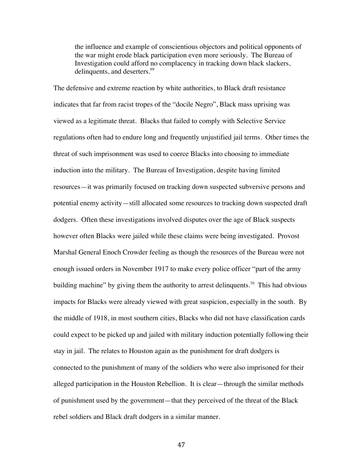the influence and example of conscientious objectors and political opponents of the war might erode black participation even more seriously. The Bureau of Investigation could afford no complacency in tracking down black slackers, delinquents, and deserters.<sup>69</sup>

The defensive and extreme reaction by white authorities, to Black draft resistance indicates that far from racist tropes of the "docile Negro", Black mass uprising was viewed as a legitimate threat. Blacks that failed to comply with Selective Service regulations often had to endure long and frequently unjustified jail terms. Other times the threat of such imprisonment was used to coerce Blacks into choosing to immediate induction into the military. The Bureau of Investigation, despite having limited resources—it was primarily focused on tracking down suspected subversive persons and potential enemy activity—still allocated some resources to tracking down suspected draft dodgers. Often these investigations involved disputes over the age of Black suspects however often Blacks were jailed while these claims were being investigated. Provost Marshal General Enoch Crowder feeling as though the resources of the Bureau were not enough issued orders in November 1917 to make every police officer "part of the army building machine" by giving them the authority to arrest delinquents.<sup>70</sup> This had obvious impacts for Blacks were already viewed with great suspicion, especially in the south. By the middle of 1918, in most southern cities, Blacks who did not have classification cards could expect to be picked up and jailed with military induction potentially following their stay in jail. The relates to Houston again as the punishment for draft dodgers is connected to the punishment of many of the soldiers who were also imprisoned for their alleged participation in the Houston Rebellion. It is clear—through the similar methods of punishment used by the government—that they perceived of the threat of the Black rebel soldiers and Black draft dodgers in a similar manner.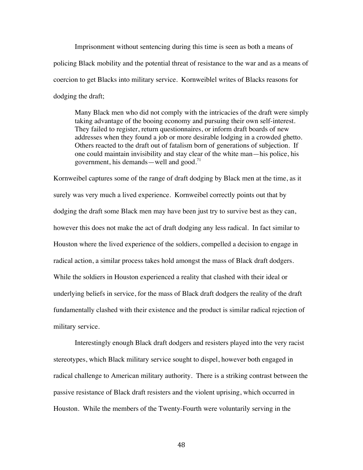Imprisonment without sentencing during this time is seen as both a means of policing Black mobility and the potential threat of resistance to the war and as a means of coercion to get Blacks into military service. Kornweiblel writes of Blacks reasons for dodging the draft;

Many Black men who did not comply with the intricacies of the draft were simply taking advantage of the booing economy and pursuing their own self-interest. They failed to register, return questionnaires, or inform draft boards of new addresses when they found a job or more desirable lodging in a crowded ghetto. Others reacted to the draft out of fatalism born of generations of subjection. If one could maintain invisibility and stay clear of the white man—his police, his government, his demands—well and good.<sup>71</sup>

Kornweibel captures some of the range of draft dodging by Black men at the time, as it surely was very much a lived experience. Kornweibel correctly points out that by dodging the draft some Black men may have been just try to survive best as they can, however this does not make the act of draft dodging any less radical. In fact similar to Houston where the lived experience of the soldiers, compelled a decision to engage in radical action, a similar process takes hold amongst the mass of Black draft dodgers. While the soldiers in Houston experienced a reality that clashed with their ideal or underlying beliefs in service, for the mass of Black draft dodgers the reality of the draft fundamentally clashed with their existence and the product is similar radical rejection of military service.

Interestingly enough Black draft dodgers and resisters played into the very racist stereotypes, which Black military service sought to dispel, however both engaged in radical challenge to American military authority. There is a striking contrast between the passive resistance of Black draft resisters and the violent uprising, which occurred in Houston. While the members of the Twenty-Fourth were voluntarily serving in the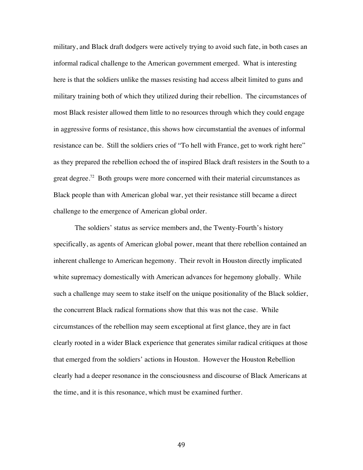military, and Black draft dodgers were actively trying to avoid such fate, in both cases an informal radical challenge to the American government emerged. What is interesting here is that the soldiers unlike the masses resisting had access albeit limited to guns and military training both of which they utilized during their rebellion. The circumstances of most Black resister allowed them little to no resources through which they could engage in aggressive forms of resistance, this shows how circumstantial the avenues of informal resistance can be. Still the soldiers cries of "To hell with France, get to work right here" as they prepared the rebellion echoed the of inspired Black draft resisters in the South to a great degree.<sup>72</sup> Both groups were more concerned with their material circumstances as Black people than with American global war, yet their resistance still became a direct challenge to the emergence of American global order.

The soldiers' status as service members and, the Twenty-Fourth's history specifically, as agents of American global power, meant that there rebellion contained an inherent challenge to American hegemony. Their revolt in Houston directly implicated white supremacy domestically with American advances for hegemony globally. While such a challenge may seem to stake itself on the unique positionality of the Black soldier, the concurrent Black radical formations show that this was not the case. While circumstances of the rebellion may seem exceptional at first glance, they are in fact clearly rooted in a wider Black experience that generates similar radical critiques at those that emerged from the soldiers' actions in Houston. However the Houston Rebellion clearly had a deeper resonance in the consciousness and discourse of Black Americans at the time, and it is this resonance, which must be examined further.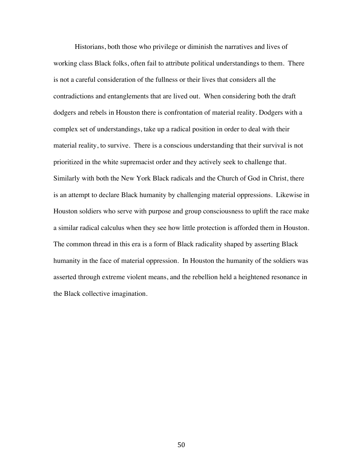Historians, both those who privilege or diminish the narratives and lives of working class Black folks, often fail to attribute political understandings to them. There is not a careful consideration of the fullness or their lives that considers all the contradictions and entanglements that are lived out. When considering both the draft dodgers and rebels in Houston there is confrontation of material reality. Dodgers with a complex set of understandings, take up a radical position in order to deal with their material reality, to survive. There is a conscious understanding that their survival is not prioritized in the white supremacist order and they actively seek to challenge that. Similarly with both the New York Black radicals and the Church of God in Christ, there is an attempt to declare Black humanity by challenging material oppressions. Likewise in Houston soldiers who serve with purpose and group consciousness to uplift the race make a similar radical calculus when they see how little protection is afforded them in Houston. The common thread in this era is a form of Black radicality shaped by asserting Black humanity in the face of material oppression. In Houston the humanity of the soldiers was asserted through extreme violent means, and the rebellion held a heightened resonance in the Black collective imagination.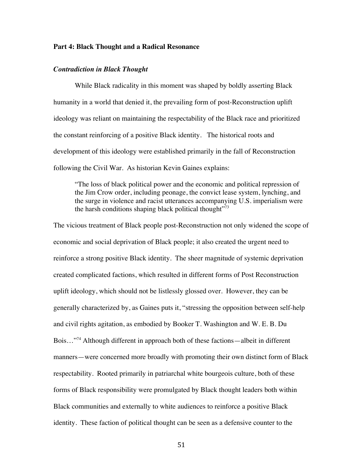### **Part 4: Black Thought and a Radical Resonance**

## *Contradiction in Black Thought*

While Black radicality in this moment was shaped by boldly asserting Black humanity in a world that denied it, the prevailing form of post-Reconstruction uplift ideology was reliant on maintaining the respectability of the Black race and prioritized the constant reinforcing of a positive Black identity. The historical roots and development of this ideology were established primarily in the fall of Reconstruction following the Civil War. As historian Kevin Gaines explains:

"The loss of black political power and the economic and political repression of the Jim Crow order, including peonage, the convict lease system, lynching, and the surge in violence and racist utterances accompanying U.S. imperialism were the harsh conditions shaping black political thought $"$ <sup>73</sup>

The vicious treatment of Black people post-Reconstruction not only widened the scope of economic and social deprivation of Black people; it also created the urgent need to reinforce a strong positive Black identity. The sheer magnitude of systemic deprivation created complicated factions, which resulted in different forms of Post Reconstruction uplift ideology, which should not be listlessly glossed over. However, they can be generally characterized by, as Gaines puts it, "stressing the opposition between self-help and civil rights agitation, as embodied by Booker T. Washington and W. E. B. Du Bois…"<sup>74</sup> Although different in approach both of these factions—albeit in different manners—were concerned more broadly with promoting their own distinct form of Black respectability. Rooted primarily in patriarchal white bourgeois culture, both of these forms of Black responsibility were promulgated by Black thought leaders both within Black communities and externally to white audiences to reinforce a positive Black identity. These faction of political thought can be seen as a defensive counter to the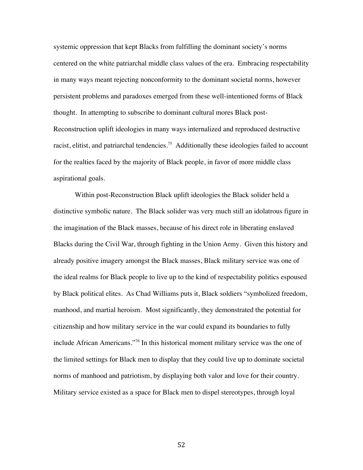systemic oppression that kept Blacks from fulfilling the dominant society's norms centered on the white patriarchal middle class values of the era. Embracing respectability in many ways meant rejecting nonconformity to the dominant societal norms, however persistent problems and paradoxes emerged from these well-intentioned forms of Black thought. In attempting to subscribe to dominant cultural mores Black post-Reconstruction uplift ideologies in many ways internalized and reproduced destructive racist, elitist, and patriarchal tendencies.<sup>75</sup> Additionally these ideologies failed to account for the realties faced by the majority of Black people, in favor of more middle class aspirational goals.

Within post-Reconstruction Black uplift ideologies the Black solider held a distinctive symbolic nature. The Black solider was very much still an idolatrous figure in the imagination of the Black masses, because of his direct role in liberating enslaved Blacks during the Civil War, through fighting in the Union Army. Given this history and already positive imagery amongst the Black masses, Black military service was one of the ideal realms for Black people to live up to the kind of respectability politics espoused by Black political elites. As Chad Williams puts it, Black soldiers "symbolized freedom, manhood, and martial heroism. Most significantly, they demonstrated the potential for citizenship and how military service in the war could expand its boundaries to fully include African Americans."76 In this historical moment military service was the one of the limited settings for Black men to display that they could live up to dominate societal norms of manhood and patriotism, by displaying both valor and love for their country. Military service existed as a space for Black men to dispel stereotypes, through loyal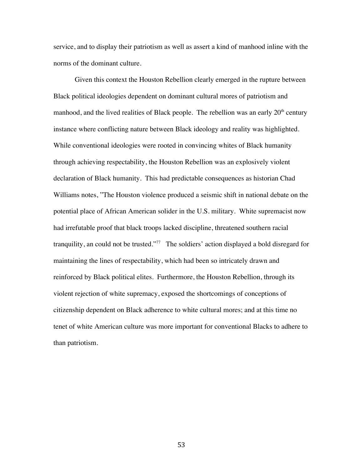service, and to display their patriotism as well as assert a kind of manhood inline with the norms of the dominant culture.

Given this context the Houston Rebellion clearly emerged in the rupture between Black political ideologies dependent on dominant cultural mores of patriotism and manhood, and the lived realities of Black people. The rebellion was an early  $20<sup>th</sup>$  century instance where conflicting nature between Black ideology and reality was highlighted. While conventional ideologies were rooted in convincing whites of Black humanity through achieving respectability, the Houston Rebellion was an explosively violent declaration of Black humanity. This had predictable consequences as historian Chad Williams notes, "The Houston violence produced a seismic shift in national debate on the potential place of African American solider in the U.S. military. White supremacist now had irrefutable proof that black troops lacked discipline, threatened southern racial tranquility, an could not be trusted."<sup>77</sup> The soldiers' action displayed a bold disregard for maintaining the lines of respectability, which had been so intricately drawn and reinforced by Black political elites. Furthermore, the Houston Rebellion, through its violent rejection of white supremacy, exposed the shortcomings of conceptions of citizenship dependent on Black adherence to white cultural mores; and at this time no tenet of white American culture was more important for conventional Blacks to adhere to than patriotism.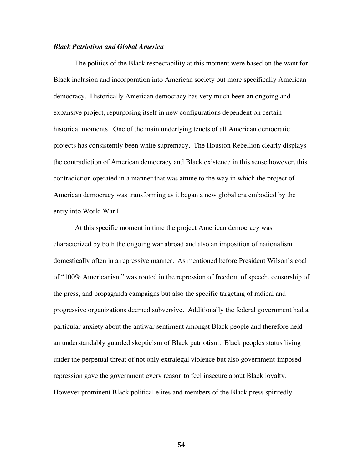## *Black Patriotism and Global America*

The politics of the Black respectability at this moment were based on the want for Black inclusion and incorporation into American society but more specifically American democracy. Historically American democracy has very much been an ongoing and expansive project, repurposing itself in new configurations dependent on certain historical moments. One of the main underlying tenets of all American democratic projects has consistently been white supremacy. The Houston Rebellion clearly displays the contradiction of American democracy and Black existence in this sense however, this contradiction operated in a manner that was attune to the way in which the project of American democracy was transforming as it began a new global era embodied by the entry into World War I.

At this specific moment in time the project American democracy was characterized by both the ongoing war abroad and also an imposition of nationalism domestically often in a repressive manner. As mentioned before President Wilson's goal of "100% Americanism" was rooted in the repression of freedom of speech, censorship of the press, and propaganda campaigns but also the specific targeting of radical and progressive organizations deemed subversive. Additionally the federal government had a particular anxiety about the antiwar sentiment amongst Black people and therefore held an understandably guarded skepticism of Black patriotism. Black peoples status living under the perpetual threat of not only extralegal violence but also government-imposed repression gave the government every reason to feel insecure about Black loyalty. However prominent Black political elites and members of the Black press spiritedly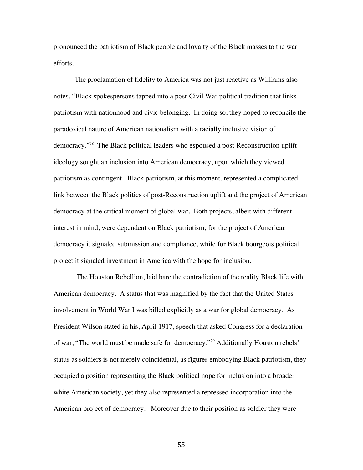pronounced the patriotism of Black people and loyalty of the Black masses to the war efforts.

The proclamation of fidelity to America was not just reactive as Williams also notes, "Black spokespersons tapped into a post-Civil War political tradition that links patriotism with nationhood and civic belonging. In doing so, they hoped to reconcile the paradoxical nature of American nationalism with a racially inclusive vision of democracy."78 The Black political leaders who espoused a post-Reconstruction uplift ideology sought an inclusion into American democracy, upon which they viewed patriotism as contingent. Black patriotism, at this moment, represented a complicated link between the Black politics of post-Reconstruction uplift and the project of American democracy at the critical moment of global war. Both projects, albeit with different interest in mind, were dependent on Black patriotism; for the project of American democracy it signaled submission and compliance, while for Black bourgeois political project it signaled investment in America with the hope for inclusion.

The Houston Rebellion, laid bare the contradiction of the reality Black life with American democracy. A status that was magnified by the fact that the United States involvement in World War I was billed explicitly as a war for global democracy. As President Wilson stated in his, April 1917, speech that asked Congress for a declaration of war, "The world must be made safe for democracy."<sup>79</sup> Additionally Houston rebels' status as soldiers is not merely coincidental, as figures embodying Black patriotism, they occupied a position representing the Black political hope for inclusion into a broader white American society, yet they also represented a repressed incorporation into the American project of democracy. Moreover due to their position as soldier they were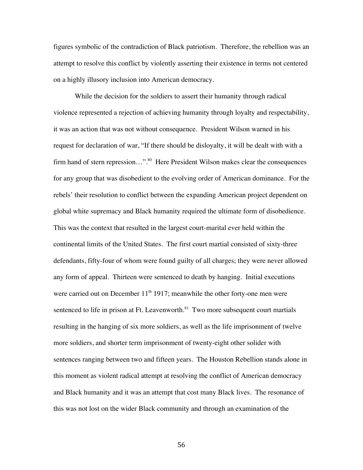figures symbolic of the contradiction of Black patriotism. Therefore, the rebellion was an attempt to resolve this conflict by violently asserting their existence in terms not centered on a highly illusory inclusion into American democracy.

While the decision for the soldiers to assert their humanity through radical violence represented a rejection of achieving humanity through loyalty and respectability, it was an action that was not without consequence. President Wilson warned in his request for declaration of war, "If there should be disloyalty, it will be dealt with with a firm hand of stern repression...".<sup>80</sup> Here President Wilson makes clear the consequences for any group that was disobedient to the evolving order of American dominance. For the rebels' their resolution to conflict between the expanding American project dependent on global white supremacy and Black humanity required the ultimate form of disobedience. This was the context that resulted in the largest court-marital ever held within the continental limits of the United States. The first court martial consisted of sixty-three defendants, fifty-four of whom were found guilty of all charges; they were never allowed any form of appeal. Thirteen were sentenced to death by hanging. Initial executions were carried out on December  $11<sup>th</sup> 1917$ ; meanwhile the other forty-one men were sentenced to life in prison at Ft. Leavenworth.<sup>81</sup> Two more subsequent court martials resulting in the hanging of six more soldiers, as well as the life imprisonment of twelve more soldiers, and shorter term imprisonment of twenty-eight other solider with sentences ranging between two and fifteen years. The Houston Rebellion stands alone in this moment as violent radical attempt at resolving the conflict of American democracy and Black humanity and it was an attempt that cost many Black lives. The resonance of this was not lost on the wider Black community and through an examination of the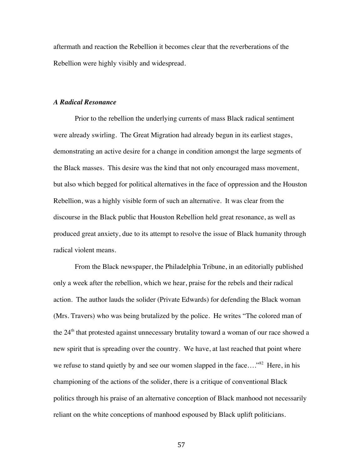aftermath and reaction the Rebellion it becomes clear that the reverberations of the Rebellion were highly visibly and widespread.

## *A Radical Resonance*

Prior to the rebellion the underlying currents of mass Black radical sentiment were already swirling. The Great Migration had already begun in its earliest stages, demonstrating an active desire for a change in condition amongst the large segments of the Black masses. This desire was the kind that not only encouraged mass movement, but also which begged for political alternatives in the face of oppression and the Houston Rebellion, was a highly visible form of such an alternative. It was clear from the discourse in the Black public that Houston Rebellion held great resonance, as well as produced great anxiety, due to its attempt to resolve the issue of Black humanity through radical violent means.

From the Black newspaper, the Philadelphia Tribune, in an editorially published only a week after the rebellion, which we hear, praise for the rebels and their radical action. The author lauds the solider (Private Edwards) for defending the Black woman (Mrs. Travers) who was being brutalized by the police. He writes "The colored man of the 24<sup>th</sup> that protested against unnecessary brutality toward a woman of our race showed a new spirit that is spreading over the country. We have, at last reached that point where we refuse to stand quietly by and see our women slapped in the face...."<sup>82</sup> Here, in his championing of the actions of the solider, there is a critique of conventional Black politics through his praise of an alternative conception of Black manhood not necessarily reliant on the white conceptions of manhood espoused by Black uplift politicians.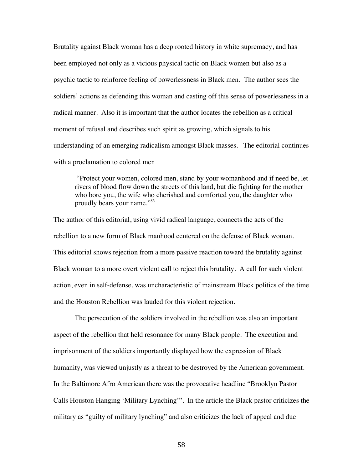Brutality against Black woman has a deep rooted history in white supremacy, and has been employed not only as a vicious physical tactic on Black women but also as a psychic tactic to reinforce feeling of powerlessness in Black men. The author sees the soldiers' actions as defending this woman and casting off this sense of powerlessness in a radical manner. Also it is important that the author locates the rebellion as a critical moment of refusal and describes such spirit as growing, which signals to his understanding of an emerging radicalism amongst Black masses. The editorial continues with a proclamation to colored men

"Protect your women, colored men, stand by your womanhood and if need be, let rivers of blood flow down the streets of this land, but die fighting for the mother who bore you, the wife who cherished and comforted you, the daughter who proudly bears your name."83

The author of this editorial, using vivid radical language, connects the acts of the rebellion to a new form of Black manhood centered on the defense of Black woman. This editorial shows rejection from a more passive reaction toward the brutality against Black woman to a more overt violent call to reject this brutality. A call for such violent action, even in self-defense, was uncharacteristic of mainstream Black politics of the time and the Houston Rebellion was lauded for this violent rejection.

The persecution of the soldiers involved in the rebellion was also an important aspect of the rebellion that held resonance for many Black people. The execution and imprisonment of the soldiers importantly displayed how the expression of Black humanity, was viewed unjustly as a threat to be destroyed by the American government. In the Baltimore Afro American there was the provocative headline "Brooklyn Pastor Calls Houston Hanging 'Military Lynching'". In the article the Black pastor criticizes the military as "guilty of military lynching" and also criticizes the lack of appeal and due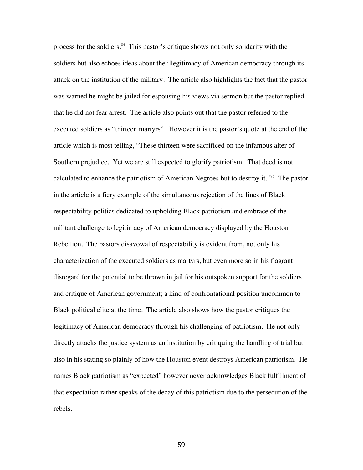process for the soldiers.<sup>84</sup> This pastor's critique shows not only solidarity with the soldiers but also echoes ideas about the illegitimacy of American democracy through its attack on the institution of the military. The article also highlights the fact that the pastor was warned he might be jailed for espousing his views via sermon but the pastor replied that he did not fear arrest. The article also points out that the pastor referred to the executed soldiers as "thirteen martyrs". However it is the pastor's quote at the end of the article which is most telling, "These thirteen were sacrificed on the infamous alter of Southern prejudice. Yet we are still expected to glorify patriotism. That deed is not calculated to enhance the patriotism of American Negroes but to destroy it."85 The pastor in the article is a fiery example of the simultaneous rejection of the lines of Black respectability politics dedicated to upholding Black patriotism and embrace of the militant challenge to legitimacy of American democracy displayed by the Houston Rebellion. The pastors disavowal of respectability is evident from, not only his characterization of the executed soldiers as martyrs, but even more so in his flagrant disregard for the potential to be thrown in jail for his outspoken support for the soldiers and critique of American government; a kind of confrontational position uncommon to Black political elite at the time. The article also shows how the pastor critiques the legitimacy of American democracy through his challenging of patriotism. He not only directly attacks the justice system as an institution by critiquing the handling of trial but also in his stating so plainly of how the Houston event destroys American patriotism. He names Black patriotism as "expected" however never acknowledges Black fulfillment of that expectation rather speaks of the decay of this patriotism due to the persecution of the rebels.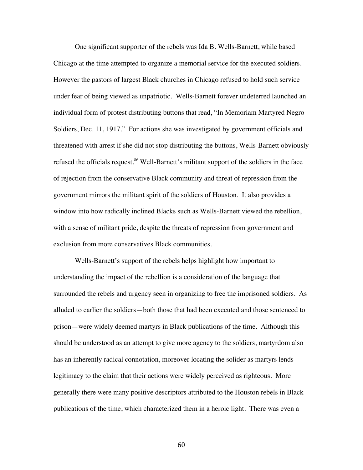One significant supporter of the rebels was Ida B. Wells-Barnett, while based Chicago at the time attempted to organize a memorial service for the executed soldiers. However the pastors of largest Black churches in Chicago refused to hold such service under fear of being viewed as unpatriotic. Wells-Barnett forever undeterred launched an individual form of protest distributing buttons that read, "In Memoriam Martyred Negro Soldiers, Dec. 11, 1917." For actions she was investigated by government officials and threatened with arrest if she did not stop distributing the buttons, Wells-Barnett obviously refused the officials request.<sup>86</sup> Well-Barnett's militant support of the soldiers in the face of rejection from the conservative Black community and threat of repression from the government mirrors the militant spirit of the soldiers of Houston. It also provides a window into how radically inclined Blacks such as Wells-Barnett viewed the rebellion, with a sense of militant pride, despite the threats of repression from government and exclusion from more conservatives Black communities.

Wells-Barnett's support of the rebels helps highlight how important to understanding the impact of the rebellion is a consideration of the language that surrounded the rebels and urgency seen in organizing to free the imprisoned soldiers. As alluded to earlier the soldiers—both those that had been executed and those sentenced to prison—were widely deemed martyrs in Black publications of the time. Although this should be understood as an attempt to give more agency to the soldiers, martyrdom also has an inherently radical connotation, moreover locating the solider as martyrs lends legitimacy to the claim that their actions were widely perceived as righteous. More generally there were many positive descriptors attributed to the Houston rebels in Black publications of the time, which characterized them in a heroic light. There was even a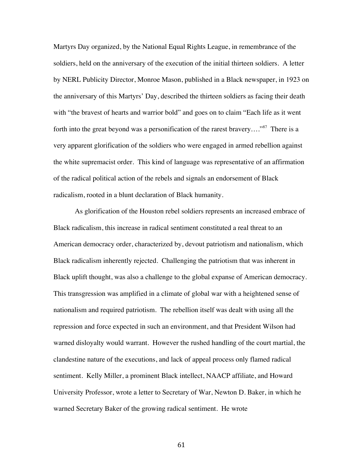Martyrs Day organized, by the National Equal Rights League, in remembrance of the soldiers, held on the anniversary of the execution of the initial thirteen soldiers. A letter by NERL Publicity Director, Monroe Mason, published in a Black newspaper, in 1923 on the anniversary of this Martyrs' Day, described the thirteen soldiers as facing their death with "the bravest of hearts and warrior bold" and goes on to claim "Each life as it went forth into the great beyond was a personification of the rarest bravery...."<sup>87</sup> There is a very apparent glorification of the soldiers who were engaged in armed rebellion against the white supremacist order. This kind of language was representative of an affirmation of the radical political action of the rebels and signals an endorsement of Black radicalism, rooted in a blunt declaration of Black humanity.

As glorification of the Houston rebel soldiers represents an increased embrace of Black radicalism, this increase in radical sentiment constituted a real threat to an American democracy order, characterized by, devout patriotism and nationalism, which Black radicalism inherently rejected. Challenging the patriotism that was inherent in Black uplift thought, was also a challenge to the global expanse of American democracy. This transgression was amplified in a climate of global war with a heightened sense of nationalism and required patriotism. The rebellion itself was dealt with using all the repression and force expected in such an environment, and that President Wilson had warned disloyalty would warrant. However the rushed handling of the court martial, the clandestine nature of the executions, and lack of appeal process only flamed radical sentiment. Kelly Miller, a prominent Black intellect, NAACP affiliate, and Howard University Professor, wrote a letter to Secretary of War, Newton D. Baker, in which he warned Secretary Baker of the growing radical sentiment. He wrote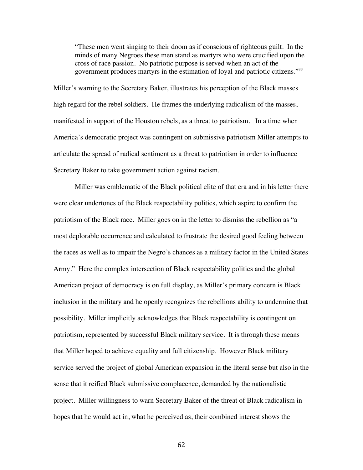"These men went singing to their doom as if conscious of righteous guilt. In the minds of many Negroes these men stand as martyrs who were crucified upon the cross of race passion. No patriotic purpose is served when an act of the government produces martyrs in the estimation of loyal and patriotic citizens."<sup>88</sup>

Miller's warning to the Secretary Baker, illustrates his perception of the Black masses high regard for the rebel soldiers. He frames the underlying radicalism of the masses, manifested in support of the Houston rebels, as a threat to patriotism. In a time when America's democratic project was contingent on submissive patriotism Miller attempts to articulate the spread of radical sentiment as a threat to patriotism in order to influence Secretary Baker to take government action against racism.

Miller was emblematic of the Black political elite of that era and in his letter there were clear undertones of the Black respectability politics, which aspire to confirm the patriotism of the Black race. Miller goes on in the letter to dismiss the rebellion as "a most deplorable occurrence and calculated to frustrate the desired good feeling between the races as well as to impair the Negro's chances as a military factor in the United States Army." Here the complex intersection of Black respectability politics and the global American project of democracy is on full display, as Miller's primary concern is Black inclusion in the military and he openly recognizes the rebellions ability to undermine that possibility. Miller implicitly acknowledges that Black respectability is contingent on patriotism, represented by successful Black military service. It is through these means that Miller hoped to achieve equality and full citizenship. However Black military service served the project of global American expansion in the literal sense but also in the sense that it reified Black submissive complacence, demanded by the nationalistic project. Miller willingness to warn Secretary Baker of the threat of Black radicalism in hopes that he would act in, what he perceived as, their combined interest shows the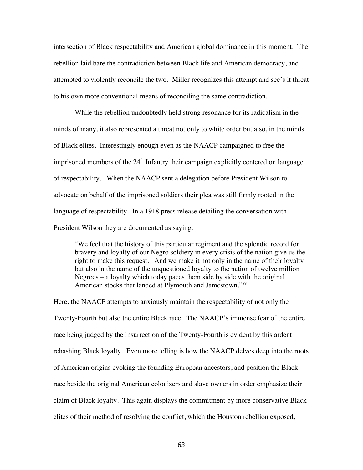intersection of Black respectability and American global dominance in this moment. The rebellion laid bare the contradiction between Black life and American democracy, and attempted to violently reconcile the two. Miller recognizes this attempt and see's it threat to his own more conventional means of reconciling the same contradiction.

While the rebellion undoubtedly held strong resonance for its radicalism in the minds of many, it also represented a threat not only to white order but also, in the minds of Black elites. Interestingly enough even as the NAACP campaigned to free the imprisoned members of the  $24<sup>th</sup>$  Infantry their campaign explicitly centered on language of respectability. When the NAACP sent a delegation before President Wilson to advocate on behalf of the imprisoned soldiers their plea was still firmly rooted in the language of respectability. In a 1918 press release detailing the conversation with President Wilson they are documented as saying:

"We feel that the history of this particular regiment and the splendid record for bravery and loyalty of our Negro soldiery in every crisis of the nation give us the right to make this request. And we make it not only in the name of their loyalty but also in the name of the unquestioned loyalty to the nation of twelve million Negroes – a loyalty which today paces them side by side with the original American stocks that landed at Plymouth and Jamestown."<sup>89</sup>

Here, the NAACP attempts to anxiously maintain the respectability of not only the Twenty-Fourth but also the entire Black race. The NAACP's immense fear of the entire race being judged by the insurrection of the Twenty-Fourth is evident by this ardent rehashing Black loyalty. Even more telling is how the NAACP delves deep into the roots of American origins evoking the founding European ancestors, and position the Black race beside the original American colonizers and slave owners in order emphasize their claim of Black loyalty. This again displays the commitment by more conservative Black elites of their method of resolving the conflict, which the Houston rebellion exposed,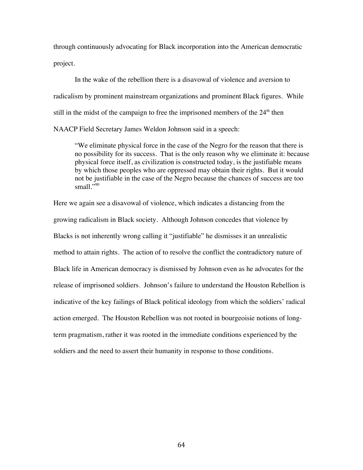through continuously advocating for Black incorporation into the American democratic project.

In the wake of the rebellion there is a disavowal of violence and aversion to radicalism by prominent mainstream organizations and prominent Black figures. While still in the midst of the campaign to free the imprisoned members of the  $24<sup>th</sup>$  then NAACP Field Secretary James Weldon Johnson said in a speech:

"We eliminate physical force in the case of the Negro for the reason that there is no possibility for its success. That is the only reason why we eliminate it: because physical force itself, as civilization is constructed today, is the justifiable means by which those peoples who are oppressed may obtain their rights. But it would not be justifiable in the case of the Negro because the chances of success are too small." $\frac{1}{2}$ 

Here we again see a disavowal of violence, which indicates a distancing from the growing radicalism in Black society. Although Johnson concedes that violence by Blacks is not inherently wrong calling it "justifiable" he dismisses it an unrealistic method to attain rights. The action of to resolve the conflict the contradictory nature of Black life in American democracy is dismissed by Johnson even as he advocates for the release of imprisoned soldiers. Johnson's failure to understand the Houston Rebellion is indicative of the key failings of Black political ideology from which the soldiers' radical action emerged. The Houston Rebellion was not rooted in bourgeoisie notions of longterm pragmatism, rather it was rooted in the immediate conditions experienced by the soldiers and the need to assert their humanity in response to those conditions.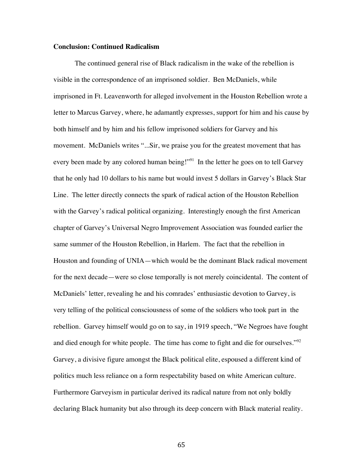## **Conclusion: Continued Radicalism**

The continued general rise of Black radicalism in the wake of the rebellion is visible in the correspondence of an imprisoned soldier. Ben McDaniels, while imprisoned in Ft. Leavenworth for alleged involvement in the Houston Rebellion wrote a letter to Marcus Garvey, where, he adamantly expresses, support for him and his cause by both himself and by him and his fellow imprisoned soldiers for Garvey and his movement. McDaniels writes "...Sir, we praise you for the greatest movement that has every been made by any colored human being!"<sup>91</sup> In the letter he goes on to tell Garvey that he only had 10 dollars to his name but would invest 5 dollars in Garvey's Black Star Line. The letter directly connects the spark of radical action of the Houston Rebellion with the Garvey's radical political organizing. Interestingly enough the first American chapter of Garvey's Universal Negro Improvement Association was founded earlier the same summer of the Houston Rebellion, in Harlem. The fact that the rebellion in Houston and founding of UNIA—which would be the dominant Black radical movement for the next decade—were so close temporally is not merely coincidental. The content of McDaniels' letter, revealing he and his comrades' enthusiastic devotion to Garvey, is very telling of the political consciousness of some of the soldiers who took part in the rebellion. Garvey himself would go on to say, in 1919 speech, "We Negroes have fought and died enough for white people. The time has come to fight and die for ourselves."<sup>92</sup> Garvey, a divisive figure amongst the Black political elite, espoused a different kind of politics much less reliance on a form respectability based on white American culture. Furthermore Garveyism in particular derived its radical nature from not only boldly declaring Black humanity but also through its deep concern with Black material reality.

65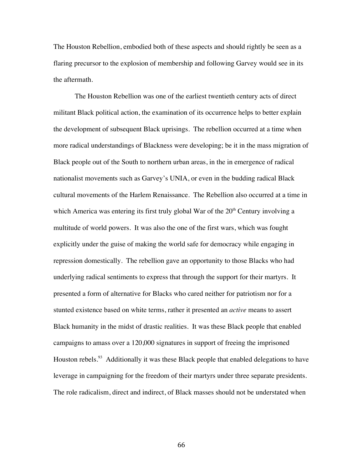The Houston Rebellion, embodied both of these aspects and should rightly be seen as a flaring precursor to the explosion of membership and following Garvey would see in its the aftermath.

The Houston Rebellion was one of the earliest twentieth century acts of direct militant Black political action, the examination of its occurrence helps to better explain the development of subsequent Black uprisings. The rebellion occurred at a time when more radical understandings of Blackness were developing; be it in the mass migration of Black people out of the South to northern urban areas, in the in emergence of radical nationalist movements such as Garvey's UNIA, or even in the budding radical Black cultural movements of the Harlem Renaissance. The Rebellion also occurred at a time in which America was entering its first truly global War of the  $20<sup>th</sup>$  Century involving a multitude of world powers. It was also the one of the first wars, which was fought explicitly under the guise of making the world safe for democracy while engaging in repression domestically. The rebellion gave an opportunity to those Blacks who had underlying radical sentiments to express that through the support for their martyrs. It presented a form of alternative for Blacks who cared neither for patriotism nor for a stunted existence based on white terms, rather it presented an *active* means to assert Black humanity in the midst of drastic realities. It was these Black people that enabled campaigns to amass over a 120,000 signatures in support of freeing the imprisoned Houston rebels.<sup>93</sup> Additionally it was these Black people that enabled delegations to have leverage in campaigning for the freedom of their martyrs under three separate presidents. The role radicalism, direct and indirect, of Black masses should not be understated when

66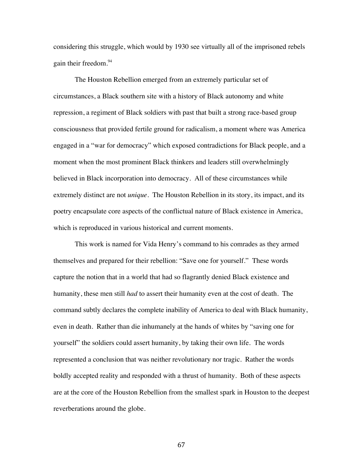considering this struggle, which would by 1930 see virtually all of the imprisoned rebels gain their freedom. 94

The Houston Rebellion emerged from an extremely particular set of circumstances, a Black southern site with a history of Black autonomy and white repression, a regiment of Black soldiers with past that built a strong race-based group consciousness that provided fertile ground for radicalism, a moment where was America engaged in a "war for democracy" which exposed contradictions for Black people, and a moment when the most prominent Black thinkers and leaders still overwhelmingly believed in Black incorporation into democracy. All of these circumstances while extremely distinct are not *unique*. The Houston Rebellion in its story, its impact, and its poetry encapsulate core aspects of the conflictual nature of Black existence in America, which is reproduced in various historical and current moments.

This work is named for Vida Henry's command to his comrades as they armed themselves and prepared for their rebellion: "Save one for yourself." These words capture the notion that in a world that had so flagrantly denied Black existence and humanity, these men still *had* to assert their humanity even at the cost of death. The command subtly declares the complete inability of America to deal with Black humanity, even in death. Rather than die inhumanely at the hands of whites by "saving one for yourself" the soldiers could assert humanity, by taking their own life. The words represented a conclusion that was neither revolutionary nor tragic. Rather the words boldly accepted reality and responded with a thrust of humanity. Both of these aspects are at the core of the Houston Rebellion from the smallest spark in Houston to the deepest reverberations around the globe.

67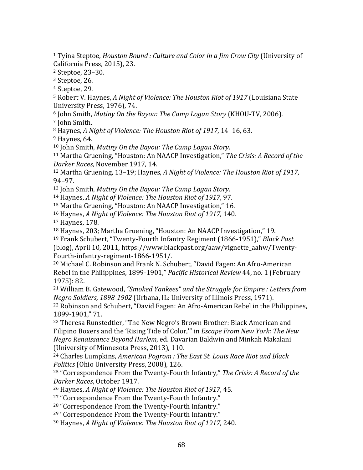$3$  Steptoe, 26.

<sup>4</sup> Steptoe, 29.

<sup>5</sup> Robert V. Haynes, A Night of Violence: The Houston Riot of 1917 (Louisiana State University Press, 1976), 74.

<sup>6</sup> John Smith, *Mutiny On the Bayou: The Camp Logan Story* (KHOU-TV, 2006).

<sup>7</sup> John Smith.

8 Haynes, A Night of Violence: The Houston Riot of 1917, 14-16, 63.

 $9$  Haynes, 64.

<sup>10</sup> John Smith, *Mutiny On the Bayou: The Camp Logan Story.* 

<sup>11</sup> Martha Gruening, "Houston: An NAACP Investigation," *The Crisis: A Record of the Darker Races*, November 1917, 14.

<sup>12</sup> Martha Gruening, 13-19; Haynes, *A Night of Violence: The Houston Riot of 1917*, 94–97.

<sup>13</sup> John Smith, *Mutiny On the Bayou: The Camp Logan Story.* 

<sup>14</sup> Haynes, *A Night of Violence: The Houston Riot of 1917*, 97.

<sup>15</sup> Martha Gruening, "Houston: An NAACP Investigation," 16.

<sup>16</sup> Haynes, *A Night of Violence: The Houston Riot of 1917*, 140.

<sup>17</sup> Haynes, 178.

<sup>18</sup> Haynes, 203; Martha Gruening, "Houston: An NAACP Investigation," 19.

<sup>19</sup> Frank Schubert, "Twenty-Fourth Infantry Regiment (1866-1951)," *Black Past* 

(blog), April 10, 2011, https://www.blackpast.org/aaw/vignette\_aahw/Twenty-Fourth-infantry-regiment-1866-1951/.

<sup>20</sup> Michael C. Robinson and Frank N. Schubert, "David Fagen: An Afro-American Rebel in the Philippines, 1899-1901," *Pacific Historical Review* 44, no. 1 (February 1975): 82.

<sup>21</sup> William B. Gatewood, "Smoked Yankees" and the Struggle for Empire *: Letters from Negro Soldiers, 1898-1902* (Urbana, IL: University of Illinois Press, 1971).

 $22$  Robinson and Schubert, "David Fagen: An Afro-American Rebel in the Philippines, 1899-1901," 71.

<sup>23</sup> Theresa Runstedtler, "The New Negro's Brown Brother: Black American and Filipino Boxers and the 'Rising Tide of Color,'" in *Escape From New York: The New Negro Renaissance Beyond Harlem*, ed. Davarian Baldwin and Minkah Makalani (University of Minnesota Press, 2013), 110.

<sup>24</sup> Charles Lumpkins, *American Pogrom : The East St. Louis Race Riot and Black Politics* (Ohio University Press, 2008), 126.

<sup>25</sup> "Correspondence From the Twenty-Fourth Infantry," *The Crisis: A Record of the Darker Races*, October 1917.

<sup>26</sup> Haynes, A Night of Violence: The Houston Riot of 1917, 45.

<sup>27</sup> "Correspondence From the Twenty-Fourth Infantry."

<sup>28</sup> "Correspondence From the Twenty-Fourth Infantry."

<sup>29</sup> "Correspondence From the Twenty-Fourth Infantry."

<sup>30</sup> Haynes, *A Night of Violence: The Houston Riot of 1917*, 240.

<sup>&</sup>lt;sup>1</sup> Tyina Steptoe, *Houston Bound : Culture and Color in a Jim Crow City* (University of California Press, 2015), 23.

<sup>&</sup>lt;sup>2</sup> Steptoe, 23-30.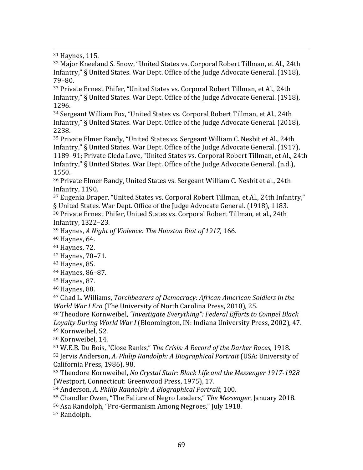31 Haynes, 115.

<sup>32</sup> Major Kneeland S. Snow, "United States vs. Corporal Robert Tillman, et Al., 24th Infantry," § United States. War Dept. Office of the Judge Advocate General. (1918), 79–80.

<u> 1989 - Johann Barbert, fransk politik (d. 1989)</u>

33 Private Ernest Phifer, "United States vs. Corporal Robert Tillman, et Al., 24th Infantry," § United States. War Dept. Office of the Judge Advocate General. (1918), 1296.

<sup>34</sup> Sergeant William Fox, "United States vs. Corporal Robert Tillman, et Al., 24th Infantry," § United States. War Dept. Office of the Judge Advocate General. (2018). 2238.

 $35$  Private Elmer Bandy, "United States vs. Sergeant William C. Nesbit et Al., 24th Infantry," § United States. War Dept. Office of the Judge Advocate General. (1917), 1189-91; Private Cleda Love, "United States vs. Corporal Robert Tillman, et Al., 24th Infantry," § United States. War Dept. Office of the Judge Advocate General. (n.d.), 1550.

<sup>36</sup> Private Elmer Bandy, United States vs. Sergeant William C. Nesbit et al., 24th Infantry, 1190.

<sup>37</sup> Eugenia Draper, "United States vs. Corporal Robert Tillman, et Al., 24th Infantry," § United States. War Dept. Office of the Judge Advocate General. (1918), 1183. 38 Private Ernest Phifer, United States vs. Corporal Robert Tillman, et al., 24th

Infantry, 1322–23.

<sup>39</sup> Haynes, A Night of Violence: The Houston Riot of 1917, 166.

40 Haynes, 64.

41 Haynes, 72.

<sup>42</sup> Haynes, 70–71.

43 Haynes, 85.

<sup>44</sup> Haynes, 86–87.

45 Haynes, 87.

46 Haynes, 88.

<sup>47</sup> Chad L. Williams, *Torchbearers of Democracy: African American Soldiers in the World War I Era* (The University of North Carolina Press, 2010), 25.

<sup>48</sup> Theodore Kornweibel, *"Investigate Everything": Federal Efforts to Compel Black* Loyalty During World War I (Bloomington, IN: Indiana University Press, 2002), 47. <sup>49</sup> Kornweibel, 52.

<sup>50</sup> Kornweibel, 14.

51 W.E.B. Du Bois, "Close Ranks," *The Crisis: A Record of the Darker Races*, 1918. 52 Jervis Anderson, A. Philip Randolph: A Biographical Portrait (USA: University of California Press, 1986), 98.

53 Theodore Kornweibel, *No Crystal Stair: Black Life and the Messenger* 1917-1928 (Westport, Connecticut: Greenwood Press, 1975), 17.

54 Anderson, A. Philip Randolph: A Biographical Portrait, 100.

55 Chandler Owen, "The Faliure of Negro Leaders," The Messenger, January 2018.

56 Asa Randolph, "Pro-Germanism Among Negroes," July 1918.

<sup>57</sup> Randolph.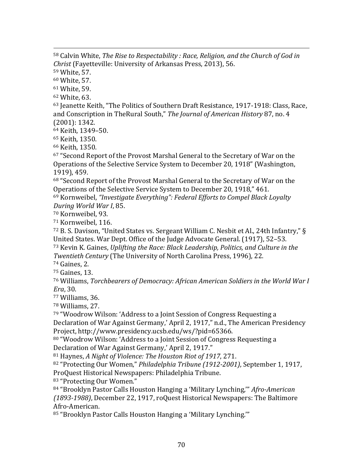<u> 1989 - Johann Barbert, fransk politik (d. 1989)</u> 58 Calvin White, *The Rise to Respectability : Race, Religion, and the Church of God in Christ* (Fayetteville: University of Arkansas Press, 2013), 56.

<sup>59</sup> White, 57.

<sup>60</sup> White, 57.

<sup>61</sup> White, 59.

<sup>62</sup> White, 63.

63 Jeanette Keith, "The Politics of Southern Draft Resistance, 1917-1918: Class, Race, and Conscription in TheRural South," *The Journal of American History* 87, no. 4  $(2001): 1342.$ 

64 Keith, 1349-50.

<sup>65</sup> Keith, 1350.

<sup>66</sup> Keith, 1350.

<sup>67</sup> "Second Report of the Provost Marshal General to the Secretary of War on the Operations of the Selective Service System to December 20, 1918" (Washington, 1919), 459.

68 "Second Report of the Provost Marshal General to the Secretary of War on the Operations of the Selective Service System to December 20, 1918," 461.

<sup>69</sup> Kornweibel, "*Investigate Everything": Federal Efforts to Compel Black Loyalty* During World War I, 85.

<sup>70</sup> Kornweibel, 93.

<sup>71</sup> Kornweibel, 116.

72 B. S. Davison, "United States vs. Sergeant William C. Nesbit et Al., 24th Infantry," § United States. War Dept. Office of the Judge Advocate General. (1917), 52-53.

<sup>73</sup> Kevin K. Gaines, *Uplifting the Race: Black Leadership, Politics, and Culture in the Twentieth Century* (The University of North Carolina Press, 1996), 22.

 $74$  Gaines, 2.

<sup>75</sup> Gaines, 13.

<sup>76</sup> Williams, *Torchbearers of Democracy: African American Soldiers in the World War I Era*, 30.

 $77$  Williams, 36.

<sup>78</sup> Williams, 27.

<sup>79</sup> "Woodrow Wilson: 'Address to a Joint Session of Congress Requesting a Declaration of War Against Germany,' April 2, 1917," n.d., The American Presidency Project, http://www.presidency.ucsb.edu/ws/?pid=65366.

80 "Woodrow Wilson: 'Address to a Joint Session of Congress Requesting a Declaration of War Against Germany,' April 2, 1917."

81 Haynes, A Night of Violence: The Houston Riot of 1917, 271.

82 "Protecting Our Women," *Philadelphia Tribune (1912-2001)*, September 1, 1917, ProQuest Historical Newspapers: Philadelphia Tribune.

83 "Protecting Our Women."

84 "Brooklyn Pastor Calls Houston Hanging a 'Military Lynching,'" *Afro-American (1893-1988)*, December 22, 1917, roQuest Historical Newspapers: The Baltimore Afro-American.

85 "Brooklyn Pastor Calls Houston Hanging a 'Military Lynching.'"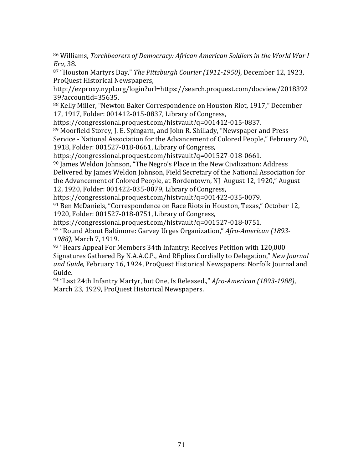<u> 1989 - Johann Barbert, fransk politik (d. 1989)</u> 86 Williams, *Torchbearers of Democracy: African American Soldiers in the World War I Era*, 38.

87 "Houston Martyrs Day," *The Pittsburgh Courier* (1911-1950), December 12, 1923, ProQuest Historical Newspapers,

http://ezproxy.nypl.org/login?url=https://search.proquest.com/docview/2018392 39?accountid=35635.

88 Kelly Miller, "Newton Baker Correspondence on Houston Riot, 1917," December 17, 1917, Folder: 001412-015-0837, Library of Congress,

https://congressional.proquest.com/histvault?q=001412-015-0837.

 $89$  Moorfield Storey, J. E. Spingarn, and John R. Shillady, "Newspaper and Press Service - National Association for the Advancement of Colored People," February 20, 1918, Folder: 001527-018-0661, Library of Congress,

https://congressional.proquest.com/histvault?q=001527-018-0661.

 $90$  James Weldon Johnson, "The Negro's Place in the New Civilization: Address Delivered by James Weldon Johnson, Field Secretary of the National Association for the Advancement of Colored People, at Bordentown, NJ August 12, 1920," August 12, 1920, Folder: 001422-035-0079, Library of Congress,

https://congressional.proquest.com/histvault?q=001422-035-0079.

 $91$  Ben McDaniels, "Correspondence on Race Riots in Houston, Texas," October 12, 1920, Folder: 001527-018-0751, Library of Congress,

https://congressional.proquest.com/histvault?q=001527-018-0751.

<sup>92</sup> "Round About Baltimore: Garvey Urges Organization," *Afro-American (1893-* 1988), March 7, 1919.

93 "Hears Appeal For Members 34th Infantry: Receives Petition with 120,000 Signatures Gathered By N.A.A.C.P., And REplies Cordially to Delegation," *New Journal* and Guide, February 16, 1924, ProQuest Historical Newspapers: Norfolk Journal and Guide.

<sup>94</sup> "Last 24th Infantry Martyr, but One, Is Released.," *Afro-American (1893-1988)*, March 23, 1929, ProQuest Historical Newspapers.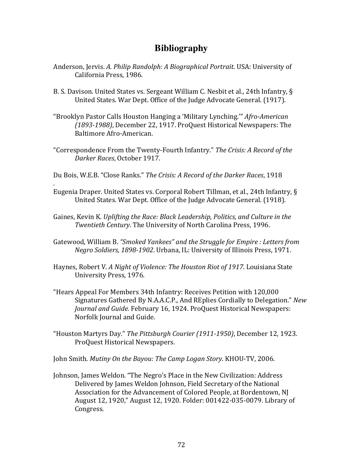## **Bibliography**

- Anderson, Jervis. A. Philip Randolph: A Biographical Portrait. USA: University of California Press, 1986.
- B. S. Davison. United States vs. Sergeant William C. Nesbit et al., 24th Infantry, § United States. War Dept. Office of the Judge Advocate General. (1917).
- "Brooklyn Pastor Calls Houston Hanging a 'Military Lynching." *Afro-American (1893-1988)*, December 22, 1917. ProQuest Historical Newspapers: The Baltimore Afro-American.
- "Correspondence From the Twenty-Fourth Infantry." *The Crisis: A Record of the Darker Races*, October 1917.
- Du Bois, W.E.B. "Close Ranks." *The Crisis: A Record of the Darker Races*, 1918

.

- Eugenia Draper. United States vs. Corporal Robert Tillman, et al., 24th Infantry,  $\S$ United States. War Dept. Office of the Judge Advocate General. (1918).
- Gaines, Kevin K. Uplifting the Race: Black Leadership, Politics, and Culture in the *Twentieth Century*. The University of North Carolina Press, 1996.
- Gatewood, William B. "Smoked Yankees" and the Struggle for Empire : Letters from *Negro Soldiers, 1898-1902.* Urbana, IL: University of Illinois Press, 1971.
- Haynes, Robert V. A Night of Violence: The Houston Riot of 1917. Louisiana State University Press, 1976.
- "Hears Appeal For Members 34th Infantry: Receives Petition with 120,000 Signatures Gathered By N.A.A.C.P., And REplies Cordially to Delegation." *New* Journal and Guide. February 16, 1924. ProQuest Historical Newspapers: Norfolk Journal and Guide.
- "Houston Martyrs Day." *The Pittsburgh Courier (1911-1950)*, December 12, 1923. ProQuest Historical Newspapers.

John Smith. Mutiny On the Bayou: The Camp Logan Story. KHOU-TV, 2006.

Johnson, James Weldon. "The Negro's Place in the New Civilization: Address Delivered by James Weldon Johnson, Field Secretary of the National Association for the Advancement of Colored People, at Bordentown, NJ August 12, 1920," August 12, 1920. Folder: 001422-035-0079. Library of Congress.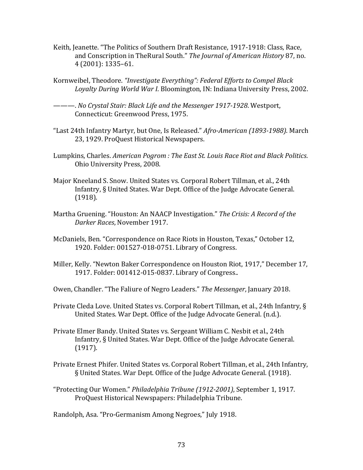- Keith, Jeanette. "The Politics of Southern Draft Resistance, 1917-1918: Class, Race, and Conscription in TheRural South." The Journal of American History 87, no. 4 (2001): 1335–61.
- Kornweibel, Theodore. "Investigate Everything": Federal Efforts to Compel Black Loyalty During World War I. Bloomington, IN: Indiana University Press, 2002.
- ———. *No Crystal Stair: Black Life and the Messenger 1917-1928*. Westport, Connecticut: Greenwood Press, 1975.
- "Last 24th Infantry Martyr, but One, Is Released." *Afro-American (1893-1988)*. March 23, 1929. ProQuest Historical Newspapers.
- Lumpkins, Charles. American Pogrom : The East St. Louis Race Riot and Black Politics. Ohio University Press, 2008.
- Major Kneeland S. Snow. United States vs. Corporal Robert Tillman, et al., 24th Infantry, § United States. War Dept. Office of the Judge Advocate General. (1918).
- Martha Gruening. "Houston: An NAACP Investigation." *The Crisis: A Record of the Darker Races*, November 1917.
- McDaniels, Ben. "Correspondence on Race Riots in Houston, Texas," October 12, 1920. Folder: 001527-018-0751. Library of Congress.
- Miller, Kelly. "Newton Baker Correspondence on Houston Riot, 1917," December 17, 1917. Folder: 001412-015-0837. Library of Congress..
- Owen, Chandler. "The Faliure of Negro Leaders." *The Messenger*, January 2018.
- Private Cleda Love. United States vs. Corporal Robert Tillman, et al., 24th Infantry,  $\S$ United States. War Dept. Office of the Judge Advocate General. (n.d.).
- Private Elmer Bandy. United States vs. Sergeant William C. Nesbit et al., 24th Infantry, § United States. War Dept. Office of the Judge Advocate General. (1917).
- Private Ernest Phifer. United States vs. Corporal Robert Tillman, et al., 24th Infantry, § United States. War Dept. Office of the Judge Advocate General. (1918).
- "Protecting Our Women." *Philadelphia Tribune (1912-2001)*, September 1, 1917. ProQuest Historical Newspapers: Philadelphia Tribune.

Randolph, Asa. "Pro-Germanism Among Negroes," July 1918.